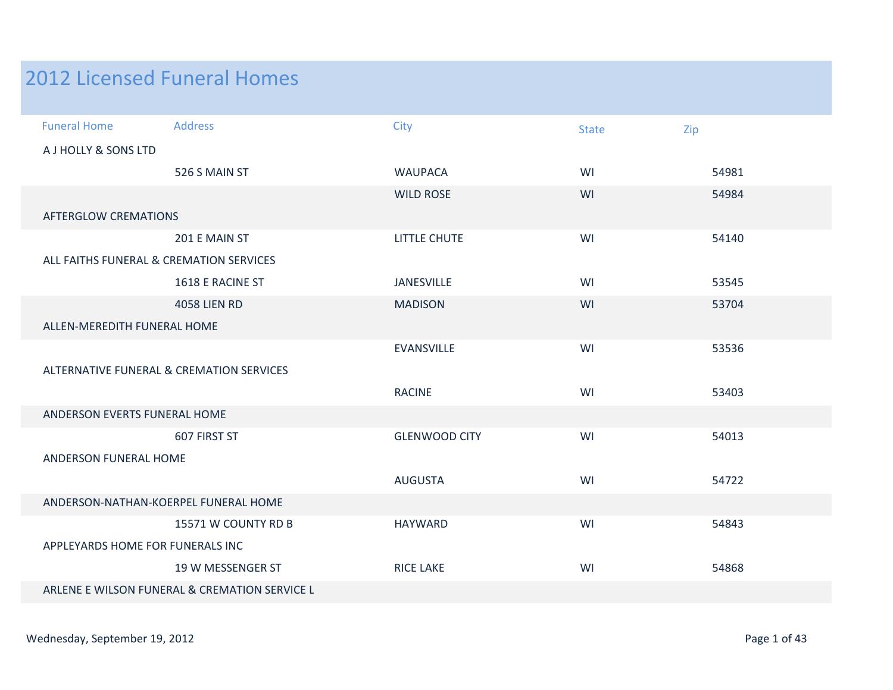## 2012 Licensed Funeral Homes

| <b>Funeral Home</b>                     | <b>Address</b>                                | City                 | <b>State</b> | Zip   |  |  |
|-----------------------------------------|-----------------------------------------------|----------------------|--------------|-------|--|--|
| A J HOLLY & SONS LTD                    |                                               |                      |              |       |  |  |
|                                         | 526 S MAIN ST                                 | <b>WAUPACA</b>       | WI           | 54981 |  |  |
|                                         |                                               | <b>WILD ROSE</b>     | WI           | 54984 |  |  |
| <b>AFTERGLOW CREMATIONS</b>             |                                               |                      |              |       |  |  |
|                                         | 201 E MAIN ST                                 | <b>LITTLE CHUTE</b>  | WI           | 54140 |  |  |
| ALL FAITHS FUNERAL & CREMATION SERVICES |                                               |                      |              |       |  |  |
|                                         | 1618 E RACINE ST                              | <b>JANESVILLE</b>    | WI           | 53545 |  |  |
|                                         | <b>4058 LIEN RD</b>                           | <b>MADISON</b>       | WI           | 53704 |  |  |
|                                         | ALLEN-MEREDITH FUNERAL HOME                   |                      |              |       |  |  |
|                                         |                                               | <b>EVANSVILLE</b>    | WI           | 53536 |  |  |
|                                         | ALTERNATIVE FUNERAL & CREMATION SERVICES      |                      |              |       |  |  |
|                                         |                                               | <b>RACINE</b>        | WI           | 53403 |  |  |
| ANDERSON EVERTS FUNERAL HOME            |                                               |                      |              |       |  |  |
|                                         | 607 FIRST ST                                  | <b>GLENWOOD CITY</b> | WI           | 54013 |  |  |
| ANDERSON FUNERAL HOME                   |                                               |                      |              |       |  |  |
|                                         |                                               | <b>AUGUSTA</b>       | WI           | 54722 |  |  |
|                                         | ANDERSON-NATHAN-KOERPEL FUNERAL HOME          |                      |              |       |  |  |
|                                         | 15571 W COUNTY RD B                           | <b>HAYWARD</b>       | WI           | 54843 |  |  |
| APPLEYARDS HOME FOR FUNERALS INC        |                                               |                      |              |       |  |  |
|                                         | 19 W MESSENGER ST                             | <b>RICE LAKE</b>     | WI           | 54868 |  |  |
|                                         | ARLENE E WILSON FUNERAL & CREMATION SERVICE L |                      |              |       |  |  |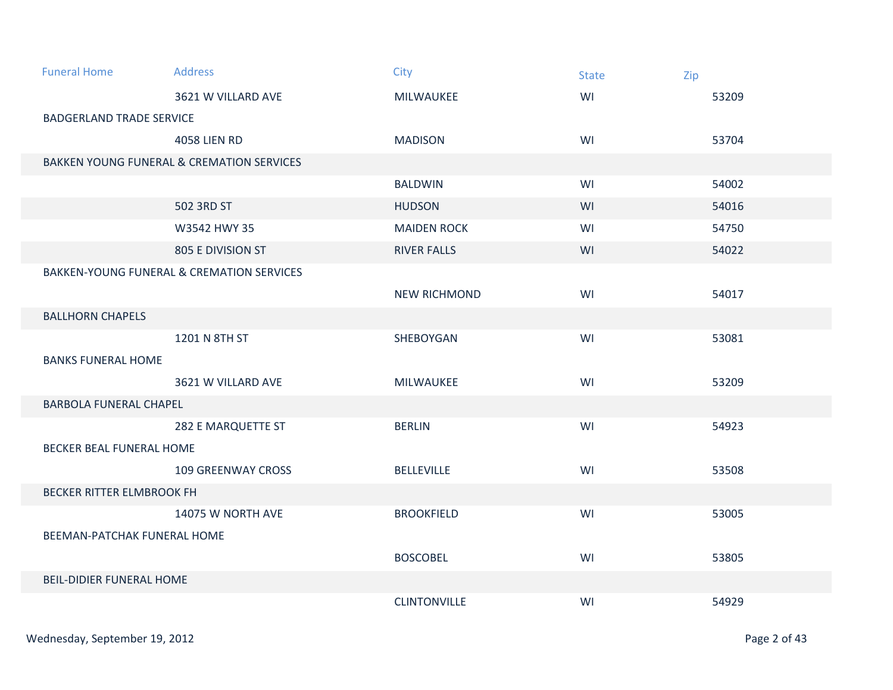| <b>Funeral Home</b>             | <b>Address</b>                                       | City                | <b>State</b> | Zip   |  |  |
|---------------------------------|------------------------------------------------------|---------------------|--------------|-------|--|--|
|                                 | 3621 W VILLARD AVE                                   | <b>MILWAUKEE</b>    | WI           | 53209 |  |  |
| <b>BADGERLAND TRADE SERVICE</b> |                                                      |                     |              |       |  |  |
|                                 | <b>4058 LIEN RD</b>                                  | <b>MADISON</b>      | WI           | 53704 |  |  |
|                                 | <b>BAKKEN YOUNG FUNERAL &amp; CREMATION SERVICES</b> |                     |              |       |  |  |
|                                 |                                                      | <b>BALDWIN</b>      | WI           | 54002 |  |  |
|                                 | 502 3RD ST                                           | <b>HUDSON</b>       | WI           | 54016 |  |  |
|                                 | W3542 HWY 35                                         | <b>MAIDEN ROCK</b>  | WI           | 54750 |  |  |
|                                 | 805 E DIVISION ST                                    | <b>RIVER FALLS</b>  | WI           | 54022 |  |  |
|                                 | <b>BAKKEN-YOUNG FUNERAL &amp; CREMATION SERVICES</b> |                     |              |       |  |  |
|                                 |                                                      | <b>NEW RICHMOND</b> | WI           | 54017 |  |  |
| <b>BALLHORN CHAPELS</b>         |                                                      |                     |              |       |  |  |
|                                 | 1201 N 8TH ST                                        | SHEBOYGAN           | WI           | 53081 |  |  |
| <b>BANKS FUNERAL HOME</b>       |                                                      |                     |              |       |  |  |
|                                 | 3621 W VILLARD AVE                                   | MILWAUKEE           | WI           | 53209 |  |  |
| <b>BARBOLA FUNERAL CHAPEL</b>   |                                                      |                     |              |       |  |  |
|                                 | 282 E MARQUETTE ST                                   | <b>BERLIN</b>       | WI           | 54923 |  |  |
| <b>BECKER BEAL FUNERAL HOME</b> |                                                      |                     |              |       |  |  |
|                                 | <b>109 GREENWAY CROSS</b>                            | <b>BELLEVILLE</b>   | WI           | 53508 |  |  |
| BECKER RITTER ELMBROOK FH       |                                                      |                     |              |       |  |  |
|                                 | 14075 W NORTH AVE                                    | <b>BROOKFIELD</b>   | WI           | 53005 |  |  |
|                                 | <b>BEEMAN-PATCHAK FUNERAL HOME</b>                   |                     |              |       |  |  |
|                                 |                                                      | <b>BOSCOBEL</b>     | WI           | 53805 |  |  |
| <b>BEIL-DIDIER FUNERAL HOME</b> |                                                      |                     |              |       |  |  |
|                                 |                                                      | <b>CLINTONVILLE</b> | WI           | 54929 |  |  |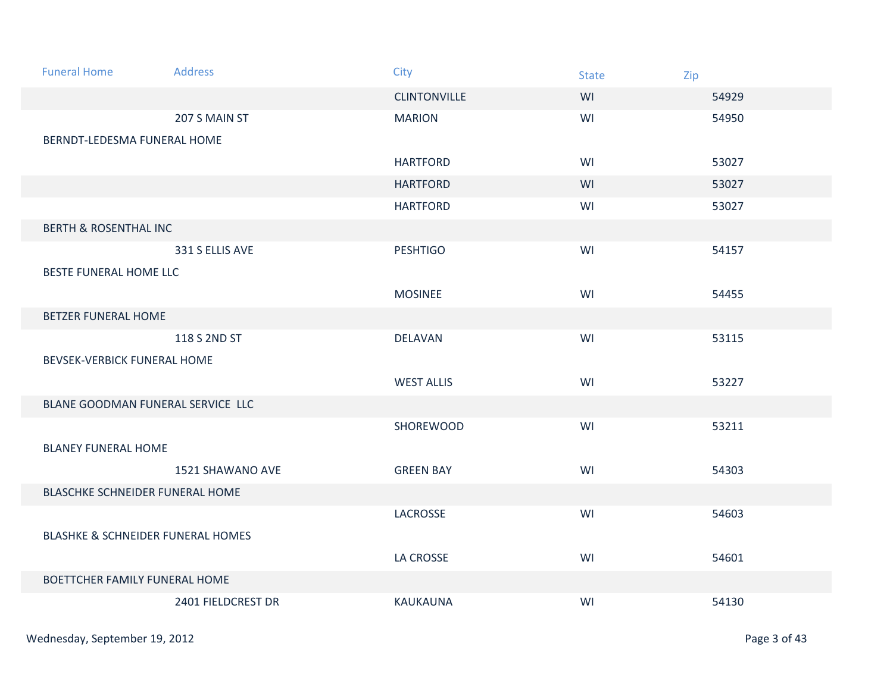| <b>Funeral Home</b>                          | <b>Address</b>     | <b>City</b>         | <b>State</b> | Zip   |
|----------------------------------------------|--------------------|---------------------|--------------|-------|
|                                              |                    | <b>CLINTONVILLE</b> | WI           | 54929 |
|                                              | 207 S MAIN ST      | <b>MARION</b>       | WI           | 54950 |
| BERNDT-LEDESMA FUNERAL HOME                  |                    |                     |              |       |
|                                              |                    | <b>HARTFORD</b>     | WI           | 53027 |
|                                              |                    | <b>HARTFORD</b>     | WI           | 53027 |
|                                              |                    | <b>HARTFORD</b>     | WI           | 53027 |
| <b>BERTH &amp; ROSENTHAL INC</b>             |                    |                     |              |       |
|                                              | 331 S ELLIS AVE    | <b>PESHTIGO</b>     | WI           | 54157 |
| BESTE FUNERAL HOME LLC                       |                    |                     |              |       |
|                                              |                    | <b>MOSINEE</b>      | WI           | 54455 |
| <b>BETZER FUNERAL HOME</b>                   |                    |                     |              |       |
|                                              | 118 S 2ND ST       | <b>DELAVAN</b>      | WI           | 53115 |
| BEVSEK-VERBICK FUNERAL HOME                  |                    |                     |              |       |
|                                              |                    | <b>WEST ALLIS</b>   | WI           | 53227 |
| BLANE GOODMAN FUNERAL SERVICE LLC            |                    |                     |              |       |
|                                              |                    | SHOREWOOD           | WI           | 53211 |
| <b>BLANEY FUNERAL HOME</b>                   |                    |                     |              |       |
|                                              | 1521 SHAWANO AVE   | <b>GREEN BAY</b>    | WI           | 54303 |
| BLASCHKE SCHNEIDER FUNERAL HOME              |                    |                     |              |       |
|                                              |                    | LACROSSE            | WI           | 54603 |
| <b>BLASHKE &amp; SCHNEIDER FUNERAL HOMES</b> |                    |                     |              |       |
|                                              |                    | LA CROSSE           | WI           | 54601 |
| BOETTCHER FAMILY FUNERAL HOME                |                    |                     |              |       |
|                                              | 2401 FIELDCREST DR | <b>KAUKAUNA</b>     | WI           | 54130 |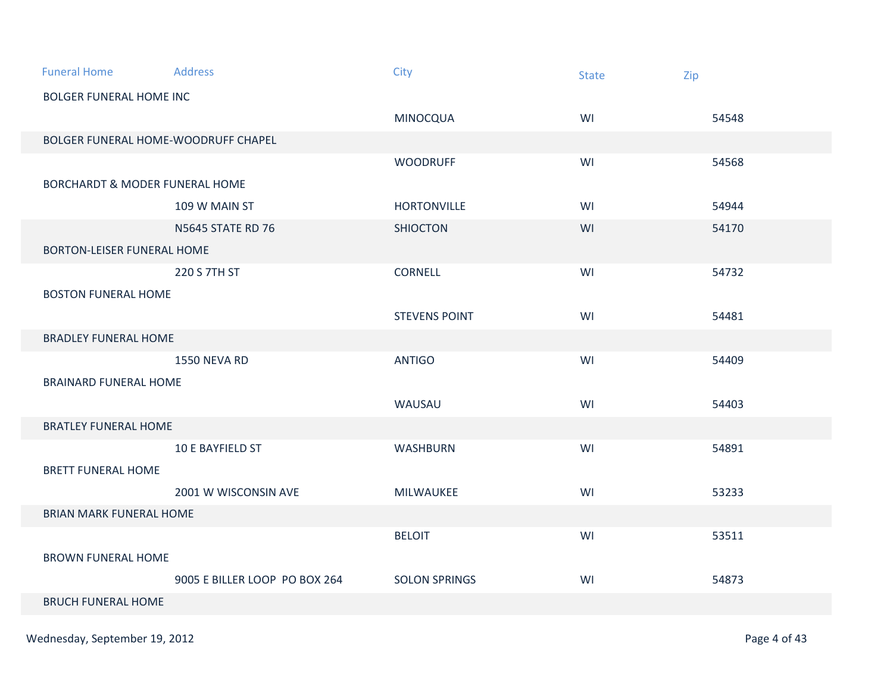| <b>Funeral Home</b>                       | <b>Address</b>                | City                 | <b>State</b> | Zip   |
|-------------------------------------------|-------------------------------|----------------------|--------------|-------|
| <b>BOLGER FUNERAL HOME INC</b>            |                               |                      |              |       |
|                                           |                               | <b>MINOCQUA</b>      | WI           | 54548 |
| BOLGER FUNERAL HOME-WOODRUFF CHAPEL       |                               |                      |              |       |
|                                           |                               | <b>WOODRUFF</b>      | WI           | 54568 |
| <b>BORCHARDT &amp; MODER FUNERAL HOME</b> |                               |                      |              |       |
|                                           | 109 W MAIN ST                 | <b>HORTONVILLE</b>   | WI           | 54944 |
|                                           | <b>N5645 STATE RD 76</b>      | <b>SHIOCTON</b>      | WI           | 54170 |
| BORTON-LEISER FUNERAL HOME                |                               |                      |              |       |
|                                           | 220 S 7TH ST                  | CORNELL              | WI           | 54732 |
| <b>BOSTON FUNERAL HOME</b>                |                               |                      |              |       |
|                                           |                               | <b>STEVENS POINT</b> | WI           | 54481 |
| <b>BRADLEY FUNERAL HOME</b>               |                               |                      |              |       |
|                                           | <b>1550 NEVA RD</b>           | <b>ANTIGO</b>        | WI           | 54409 |
| <b>BRAINARD FUNERAL HOME</b>              |                               |                      |              |       |
|                                           |                               | WAUSAU               | WI           | 54403 |
| <b>BRATLEY FUNERAL HOME</b>               |                               |                      |              |       |
|                                           | 10 E BAYFIELD ST              | <b>WASHBURN</b>      | WI           | 54891 |
| <b>BRETT FUNERAL HOME</b>                 |                               |                      |              |       |
|                                           | 2001 W WISCONSIN AVE          | MILWAUKEE            | WI           | 53233 |
| <b>BRIAN MARK FUNERAL HOME</b>            |                               |                      |              |       |
|                                           |                               | <b>BELOIT</b>        | WI           | 53511 |
| <b>BROWN FUNERAL HOME</b>                 |                               |                      |              |       |
|                                           | 9005 E BILLER LOOP PO BOX 264 | <b>SOLON SPRINGS</b> | WI           | 54873 |
| <b>BRUCH FUNERAL HOME</b>                 |                               |                      |              |       |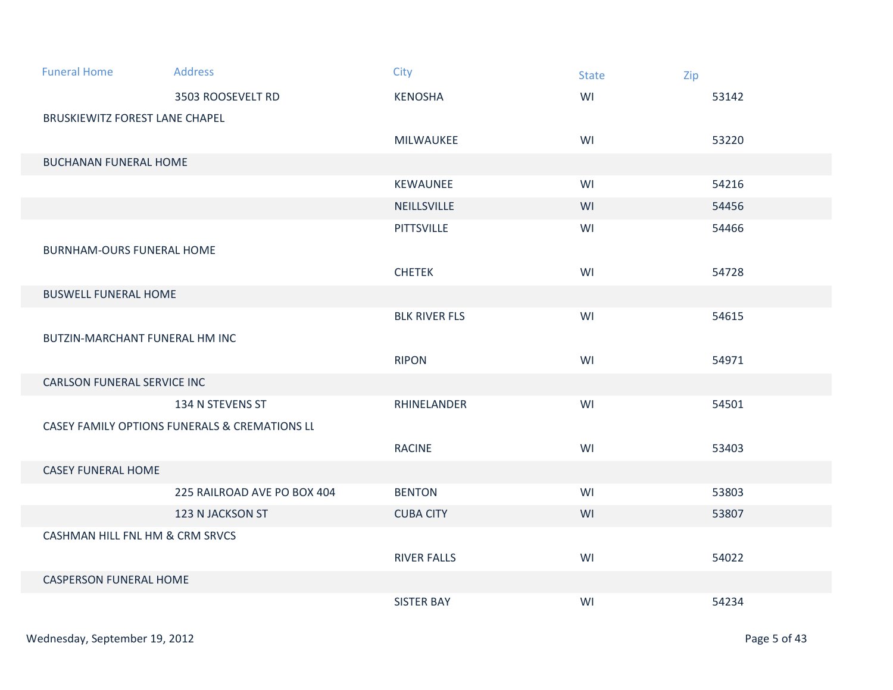| <b>Funeral Home</b>              | <b>Address</b>                                           | City                 | <b>State</b> | Zip   |
|----------------------------------|----------------------------------------------------------|----------------------|--------------|-------|
|                                  | 3503 ROOSEVELT RD                                        | <b>KENOSHA</b>       | WI           | 53142 |
| BRUSKIEWITZ FOREST LANE CHAPEL   |                                                          |                      |              |       |
|                                  |                                                          | MILWAUKEE            | WI           | 53220 |
| <b>BUCHANAN FUNERAL HOME</b>     |                                                          |                      |              |       |
|                                  |                                                          | KEWAUNEE             | WI           | 54216 |
|                                  |                                                          | NEILLSVILLE          | WI           | 54456 |
|                                  |                                                          | <b>PITTSVILLE</b>    | WI           | 54466 |
| <b>BURNHAM-OURS FUNERAL HOME</b> |                                                          |                      |              |       |
|                                  |                                                          | <b>CHETEK</b>        | WI           | 54728 |
| <b>BUSWELL FUNERAL HOME</b>      |                                                          |                      |              |       |
|                                  |                                                          | <b>BLK RIVER FLS</b> | WI           | 54615 |
| BUTZIN-MARCHANT FUNERAL HM INC   |                                                          |                      |              |       |
|                                  |                                                          | <b>RIPON</b>         | WI           | 54971 |
| CARLSON FUNERAL SERVICE INC      |                                                          |                      |              |       |
|                                  | 134 N STEVENS ST                                         | RHINELANDER          | WI           | 54501 |
|                                  | <b>CASEY FAMILY OPTIONS FUNERALS &amp; CREMATIONS LL</b> |                      |              |       |
|                                  |                                                          | <b>RACINE</b>        | WI           | 53403 |
| <b>CASEY FUNERAL HOME</b>        |                                                          |                      |              |       |
|                                  | 225 RAILROAD AVE PO BOX 404                              | <b>BENTON</b>        | WI           | 53803 |
|                                  | 123 N JACKSON ST                                         | <b>CUBA CITY</b>     | WI           | 53807 |
| CASHMAN HILL FNL HM & CRM SRVCS  |                                                          |                      |              |       |
|                                  |                                                          | <b>RIVER FALLS</b>   | WI           | 54022 |
| <b>CASPERSON FUNERAL HOME</b>    |                                                          |                      |              |       |
|                                  |                                                          | <b>SISTER BAY</b>    | WI           | 54234 |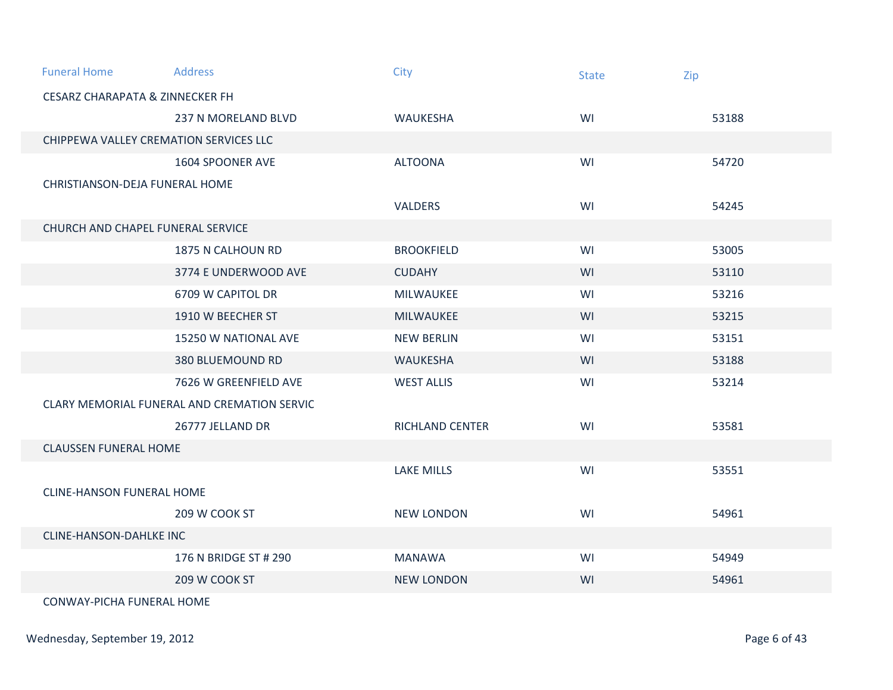| <b>Funeral Home</b>                        | <b>Address</b>                              | City                   | <b>State</b> | Zip   |  |
|--------------------------------------------|---------------------------------------------|------------------------|--------------|-------|--|
| <b>CESARZ CHARAPATA &amp; ZINNECKER FH</b> |                                             |                        |              |       |  |
|                                            | 237 N MORELAND BLVD                         | <b>WAUKESHA</b>        | WI           | 53188 |  |
| CHIPPEWA VALLEY CREMATION SERVICES LLC     |                                             |                        |              |       |  |
|                                            | 1604 SPOONER AVE                            | <b>ALTOONA</b>         | WI           | 54720 |  |
| CHRISTIANSON-DEJA FUNERAL HOME             |                                             |                        |              |       |  |
|                                            |                                             | <b>VALDERS</b>         | WI           | 54245 |  |
| CHURCH AND CHAPEL FUNERAL SERVICE          |                                             |                        |              |       |  |
|                                            | 1875 N CALHOUN RD                           | <b>BROOKFIELD</b>      | WI           | 53005 |  |
|                                            | 3774 E UNDERWOOD AVE                        | <b>CUDAHY</b>          | WI           | 53110 |  |
|                                            | 6709 W CAPITOL DR                           | MILWAUKEE              | WI           | 53216 |  |
|                                            | 1910 W BEECHER ST                           | <b>MILWAUKEE</b>       | WI           | 53215 |  |
|                                            | 15250 W NATIONAL AVE                        | <b>NEW BERLIN</b>      | WI           | 53151 |  |
|                                            | 380 BLUEMOUND RD                            | <b>WAUKESHA</b>        | WI           | 53188 |  |
|                                            | 7626 W GREENFIELD AVE                       | <b>WEST ALLIS</b>      | WI           | 53214 |  |
|                                            | CLARY MEMORIAL FUNERAL AND CREMATION SERVIC |                        |              |       |  |
|                                            | 26777 JELLAND DR                            | <b>RICHLAND CENTER</b> | WI           | 53581 |  |
| <b>CLAUSSEN FUNERAL HOME</b>               |                                             |                        |              |       |  |
|                                            |                                             | <b>LAKE MILLS</b>      | WI           | 53551 |  |
| <b>CLINE-HANSON FUNERAL HOME</b>           |                                             |                        |              |       |  |
|                                            | 209 W COOK ST                               | <b>NEW LONDON</b>      | WI           | 54961 |  |
| <b>CLINE-HANSON-DAHLKE INC</b>             |                                             |                        |              |       |  |
|                                            | 176 N BRIDGE ST # 290                       | <b>MANAWA</b>          | WI           | 54949 |  |
|                                            | 209 W COOK ST                               | <b>NEW LONDON</b>      | WI           | 54961 |  |
| CONWAY-PICHA FUNERAL HOME                  |                                             |                        |              |       |  |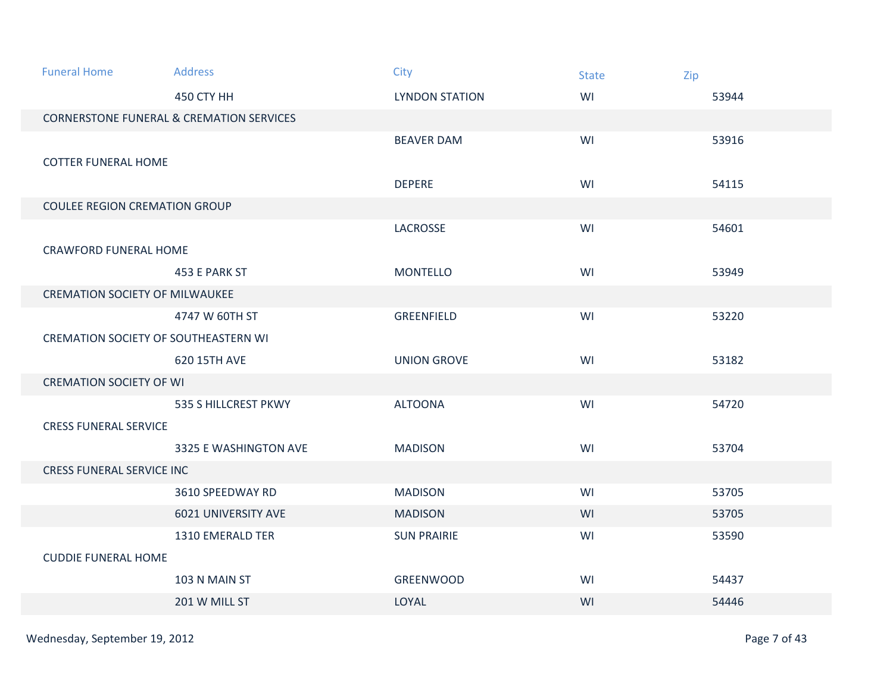| <b>Funeral Home</b>                   | <b>Address</b>                                      | City                  | <b>State</b> | Zip   |
|---------------------------------------|-----------------------------------------------------|-----------------------|--------------|-------|
|                                       | 450 CTY HH                                          | <b>LYNDON STATION</b> | WI           | 53944 |
|                                       | <b>CORNERSTONE FUNERAL &amp; CREMATION SERVICES</b> |                       |              |       |
|                                       |                                                     | <b>BEAVER DAM</b>     | WI           | 53916 |
| <b>COTTER FUNERAL HOME</b>            |                                                     |                       |              |       |
|                                       |                                                     | <b>DEPERE</b>         | WI           | 54115 |
| <b>COULEE REGION CREMATION GROUP</b>  |                                                     |                       |              |       |
|                                       |                                                     | LACROSSE              | WI           | 54601 |
| <b>CRAWFORD FUNERAL HOME</b>          |                                                     |                       |              |       |
|                                       | 453 E PARK ST                                       | <b>MONTELLO</b>       | WI           | 53949 |
| <b>CREMATION SOCIETY OF MILWAUKEE</b> |                                                     |                       |              |       |
|                                       | 4747 W 60TH ST                                      | GREENFIELD            | WI           | 53220 |
| CREMATION SOCIETY OF SOUTHEASTERN WI  |                                                     |                       |              |       |
|                                       | 620 15TH AVE                                        | <b>UNION GROVE</b>    | WI           | 53182 |
| <b>CREMATION SOCIETY OF WI</b>        |                                                     |                       |              |       |
|                                       | 535 S HILLCREST PKWY                                | <b>ALTOONA</b>        | WI           | 54720 |
| <b>CRESS FUNERAL SERVICE</b>          |                                                     |                       |              |       |
|                                       | 3325 E WASHINGTON AVE                               | <b>MADISON</b>        | WI           | 53704 |
| <b>CRESS FUNERAL SERVICE INC</b>      |                                                     |                       |              |       |
|                                       | 3610 SPEEDWAY RD                                    | <b>MADISON</b>        | WI           | 53705 |
|                                       | 6021 UNIVERSITY AVE                                 | <b>MADISON</b>        | WI           | 53705 |
|                                       | 1310 EMERALD TER                                    | <b>SUN PRAIRIE</b>    | WI           | 53590 |
| <b>CUDDIE FUNERAL HOME</b>            |                                                     |                       |              |       |
|                                       | 103 N MAIN ST                                       | <b>GREENWOOD</b>      | WI           | 54437 |
|                                       | 201 W MILL ST                                       | LOYAL                 | WI           | 54446 |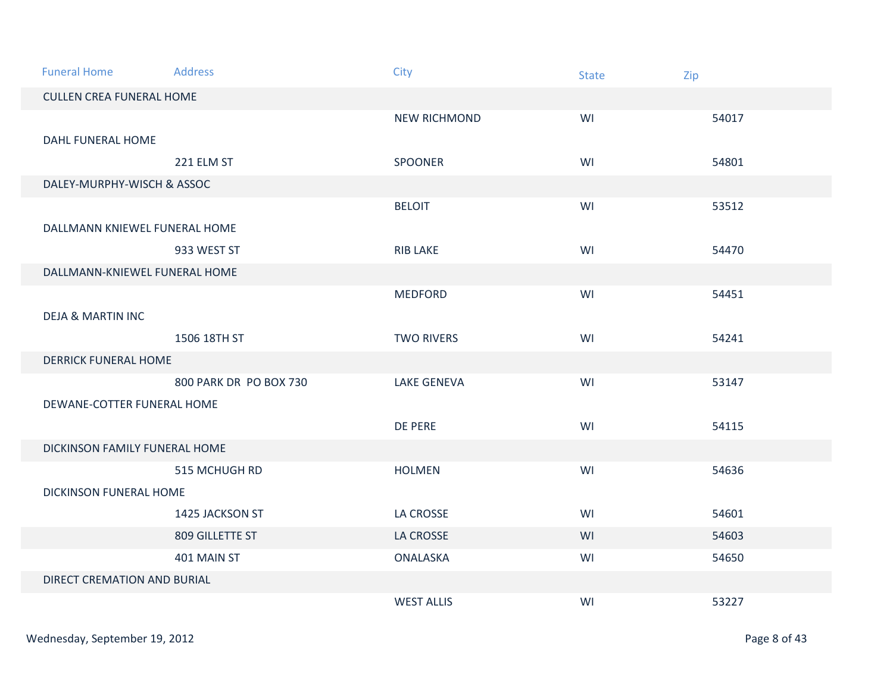| <b>Funeral Home</b>             | <b>Address</b>         | City                | <b>State</b> | Zip   |  |
|---------------------------------|------------------------|---------------------|--------------|-------|--|
| <b>CULLEN CREA FUNERAL HOME</b> |                        |                     |              |       |  |
|                                 |                        | <b>NEW RICHMOND</b> | WI           | 54017 |  |
| <b>DAHL FUNERAL HOME</b>        |                        |                     |              |       |  |
|                                 | 221 ELM ST             | <b>SPOONER</b>      | WI           | 54801 |  |
| DALEY-MURPHY-WISCH & ASSOC      |                        |                     |              |       |  |
|                                 |                        | <b>BELOIT</b>       | WI           | 53512 |  |
| DALLMANN KNIEWEL FUNERAL HOME   |                        |                     |              |       |  |
|                                 | 933 WEST ST            | <b>RIB LAKE</b>     | WI           | 54470 |  |
| DALLMANN-KNIEWEL FUNERAL HOME   |                        |                     |              |       |  |
|                                 |                        | <b>MEDFORD</b>      | WI           | 54451 |  |
| <b>DEJA &amp; MARTIN INC</b>    |                        |                     |              |       |  |
|                                 | 1506 18TH ST           | <b>TWO RIVERS</b>   | WI           | 54241 |  |
| <b>DERRICK FUNERAL HOME</b>     |                        |                     |              |       |  |
|                                 | 800 PARK DR PO BOX 730 | <b>LAKE GENEVA</b>  | WI           | 53147 |  |
| DEWANE-COTTER FUNERAL HOME      |                        |                     |              |       |  |
|                                 |                        | DE PERE             | WI           | 54115 |  |
| DICKINSON FAMILY FUNERAL HOME   |                        |                     |              |       |  |
|                                 | 515 MCHUGH RD          | <b>HOLMEN</b>       | WI           | 54636 |  |
| DICKINSON FUNERAL HOME          |                        |                     |              |       |  |
|                                 | 1425 JACKSON ST        | LA CROSSE           | WI           | 54601 |  |
|                                 | 809 GILLETTE ST        | LA CROSSE           | WI           | 54603 |  |
|                                 | 401 MAIN ST            | ONALASKA            | WI           | 54650 |  |
| DIRECT CREMATION AND BURIAL     |                        |                     |              |       |  |
|                                 |                        | <b>WEST ALLIS</b>   | WI           | 53227 |  |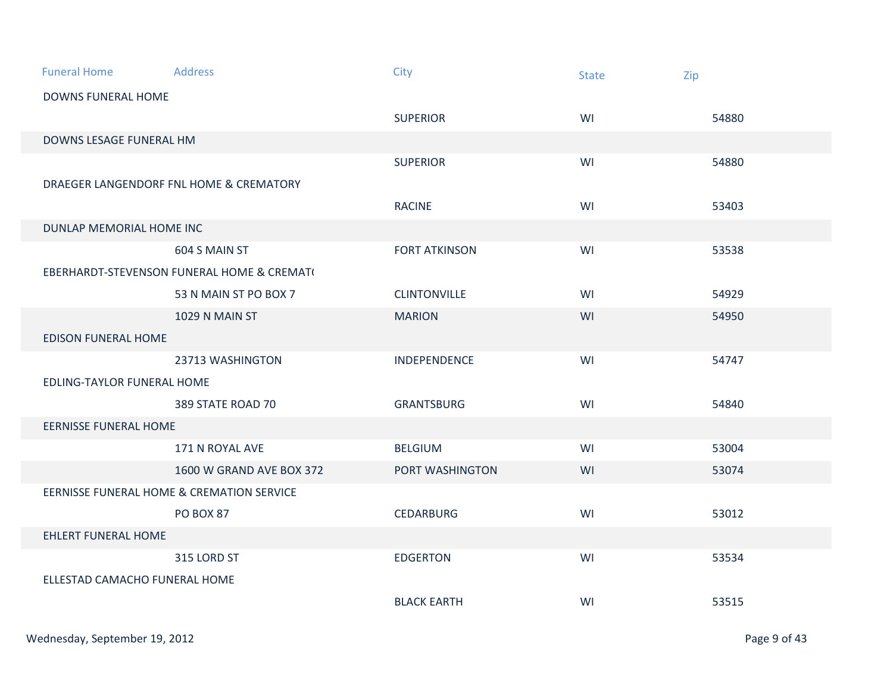| <b>Funeral Home</b>           | <b>Address</b>                             | City                 | <b>State</b> | Zip   |  |  |
|-------------------------------|--------------------------------------------|----------------------|--------------|-------|--|--|
| <b>DOWNS FUNERAL HOME</b>     |                                            |                      |              |       |  |  |
|                               |                                            | <b>SUPERIOR</b>      | WI           | 54880 |  |  |
| DOWNS LESAGE FUNERAL HM       |                                            |                      |              |       |  |  |
|                               |                                            | <b>SUPERIOR</b>      | WI           | 54880 |  |  |
|                               | DRAEGER LANGENDORF FNL HOME & CREMATORY    |                      |              |       |  |  |
|                               |                                            | <b>RACINE</b>        | WI           | 53403 |  |  |
| DUNLAP MEMORIAL HOME INC      |                                            |                      |              |       |  |  |
|                               | 604 S MAIN ST                              | <b>FORT ATKINSON</b> | WI           | 53538 |  |  |
|                               | EBERHARDT-STEVENSON FUNERAL HOME & CREMAT( |                      |              |       |  |  |
|                               | 53 N MAIN ST PO BOX 7                      | <b>CLINTONVILLE</b>  | WI           | 54929 |  |  |
|                               | 1029 N MAIN ST                             | <b>MARION</b>        | WI           | 54950 |  |  |
| <b>EDISON FUNERAL HOME</b>    |                                            |                      |              |       |  |  |
|                               | 23713 WASHINGTON                           | INDEPENDENCE         | WI           | 54747 |  |  |
| EDLING-TAYLOR FUNERAL HOME    |                                            |                      |              |       |  |  |
|                               | 389 STATE ROAD 70                          | <b>GRANTSBURG</b>    | WI           | 54840 |  |  |
| <b>EERNISSE FUNERAL HOME</b>  |                                            |                      |              |       |  |  |
|                               | 171 N ROYAL AVE                            | <b>BELGIUM</b>       | WI           | 53004 |  |  |
|                               | 1600 W GRAND AVE BOX 372                   | PORT WASHINGTON      | WI           | 53074 |  |  |
|                               | EERNISSE FUNERAL HOME & CREMATION SERVICE  |                      |              |       |  |  |
|                               | <b>PO BOX 87</b>                           | <b>CEDARBURG</b>     | WI           | 53012 |  |  |
| <b>EHLERT FUNERAL HOME</b>    |                                            |                      |              |       |  |  |
|                               | 315 LORD ST                                | <b>EDGERTON</b>      | WI           | 53534 |  |  |
| ELLESTAD CAMACHO FUNERAL HOME |                                            |                      |              |       |  |  |
|                               |                                            | <b>BLACK EARTH</b>   | WI           | 53515 |  |  |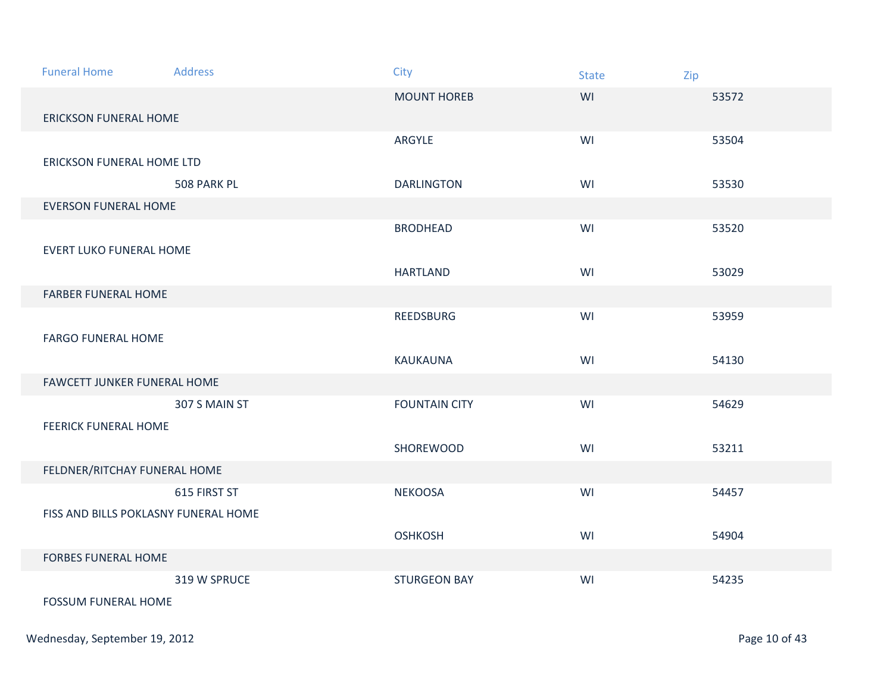| <b>Funeral Home</b>                  | <b>Address</b> | City                 | <b>State</b> | Zip   |
|--------------------------------------|----------------|----------------------|--------------|-------|
|                                      |                | <b>MOUNT HOREB</b>   | WI           | 53572 |
| <b>ERICKSON FUNERAL HOME</b>         |                |                      |              |       |
|                                      |                | ARGYLE               | WI           | 53504 |
| ERICKSON FUNERAL HOME LTD            |                |                      |              |       |
|                                      | 508 PARK PL    | <b>DARLINGTON</b>    | WI           | 53530 |
| <b>EVERSON FUNERAL HOME</b>          |                |                      |              |       |
|                                      |                | <b>BRODHEAD</b>      | WI           | 53520 |
| <b>EVERT LUKO FUNERAL HOME</b>       |                |                      |              |       |
|                                      |                | <b>HARTLAND</b>      | WI           | 53029 |
| <b>FARBER FUNERAL HOME</b>           |                |                      |              |       |
|                                      |                | REEDSBURG            | WI           | 53959 |
| <b>FARGO FUNERAL HOME</b>            |                |                      |              |       |
|                                      |                | KAUKAUNA             | WI           | 54130 |
| FAWCETT JUNKER FUNERAL HOME          |                |                      |              |       |
|                                      | 307 S MAIN ST  | <b>FOUNTAIN CITY</b> | WI           | 54629 |
| <b>FEERICK FUNERAL HOME</b>          |                |                      |              |       |
|                                      |                | SHOREWOOD            | WI           | 53211 |
| FELDNER/RITCHAY FUNERAL HOME         |                |                      |              |       |
|                                      | 615 FIRST ST   | <b>NEKOOSA</b>       | WI           | 54457 |
| FISS AND BILLS POKLASNY FUNERAL HOME |                |                      |              |       |
|                                      |                | <b>OSHKOSH</b>       | WI           | 54904 |
| <b>FORBES FUNERAL HOME</b>           |                |                      |              |       |
|                                      | 319 W SPRUCE   | <b>STURGEON BAY</b>  | WI           | 54235 |
| <b>FOSSUM FUNERAL HOME</b>           |                |                      |              |       |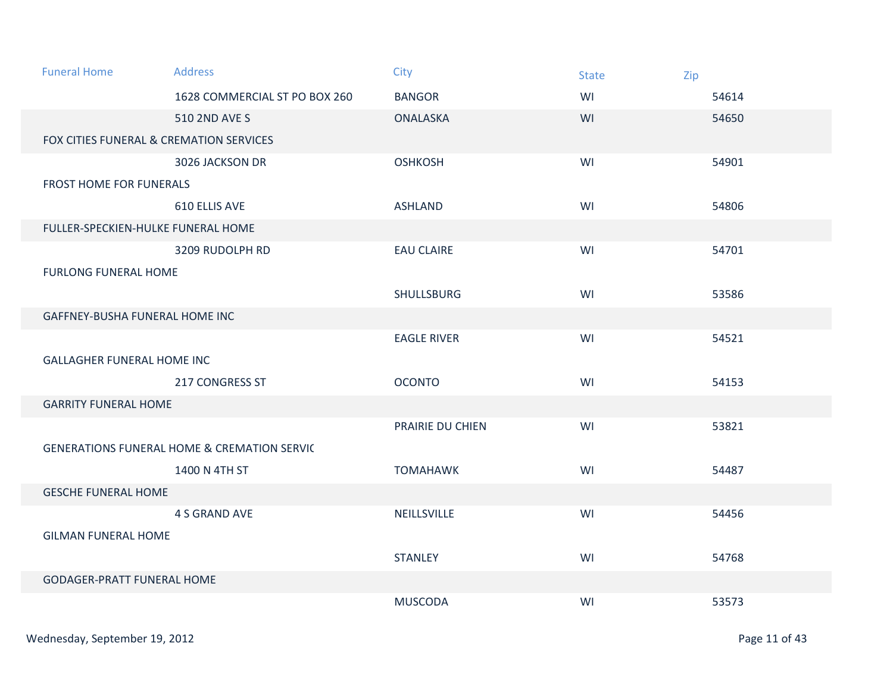| <b>Funeral Home</b>                     | <b>Address</b>                                         | City               | <b>State</b> | Zip   |
|-----------------------------------------|--------------------------------------------------------|--------------------|--------------|-------|
|                                         | 1628 COMMERCIAL ST PO BOX 260                          | <b>BANGOR</b>      | WI           | 54614 |
|                                         | 510 2ND AVE S                                          | <b>ONALASKA</b>    | WI           | 54650 |
| FOX CITIES FUNERAL & CREMATION SERVICES |                                                        |                    |              |       |
|                                         | 3026 JACKSON DR                                        | <b>OSHKOSH</b>     | WI           | 54901 |
| <b>FROST HOME FOR FUNERALS</b>          |                                                        |                    |              |       |
|                                         | 610 ELLIS AVE                                          | <b>ASHLAND</b>     | WI           | 54806 |
| FULLER-SPECKIEN-HULKE FUNERAL HOME      |                                                        |                    |              |       |
|                                         | 3209 RUDOLPH RD                                        | <b>EAU CLAIRE</b>  | WI           | 54701 |
| <b>FURLONG FUNERAL HOME</b>             |                                                        |                    |              |       |
|                                         |                                                        | <b>SHULLSBURG</b>  | WI           | 53586 |
| GAFFNEY-BUSHA FUNERAL HOME INC          |                                                        |                    |              |       |
|                                         |                                                        | <b>EAGLE RIVER</b> | WI           | 54521 |
| <b>GALLAGHER FUNERAL HOME INC</b>       |                                                        |                    |              |       |
|                                         | <b>217 CONGRESS ST</b>                                 | <b>OCONTO</b>      | WI           | 54153 |
| <b>GARRITY FUNERAL HOME</b>             |                                                        |                    |              |       |
|                                         |                                                        | PRAIRIE DU CHIEN   | WI           | 53821 |
|                                         | <b>GENERATIONS FUNERAL HOME &amp; CREMATION SERVIC</b> |                    |              |       |
|                                         | 1400 N 4TH ST                                          | <b>TOMAHAWK</b>    | WI           | 54487 |
| <b>GESCHE FUNERAL HOME</b>              |                                                        |                    |              |       |
|                                         | <b>4 S GRAND AVE</b>                                   | NEILLSVILLE        | WI           | 54456 |
| <b>GILMAN FUNERAL HOME</b>              |                                                        |                    |              |       |
|                                         |                                                        | <b>STANLEY</b>     | WI           | 54768 |
| <b>GODAGER-PRATT FUNERAL HOME</b>       |                                                        |                    |              |       |
|                                         |                                                        | <b>MUSCODA</b>     | WI           | 53573 |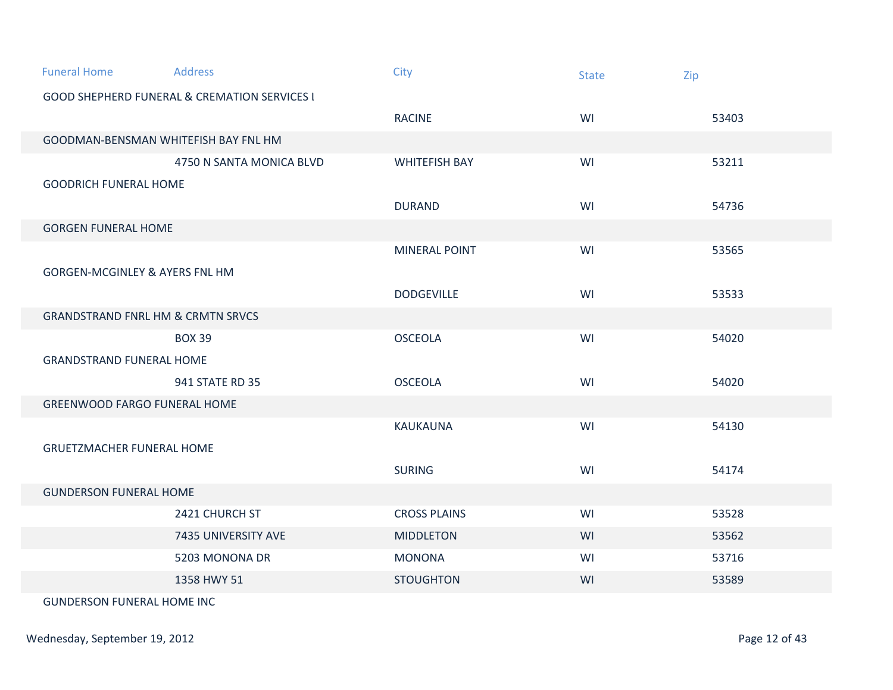| <b>Funeral Home</b>                          | <b>Address</b>                                          | City                 | <b>State</b> | Zip   |  |  |
|----------------------------------------------|---------------------------------------------------------|----------------------|--------------|-------|--|--|
|                                              | <b>GOOD SHEPHERD FUNERAL &amp; CREMATION SERVICES I</b> |                      |              |       |  |  |
|                                              |                                                         | <b>RACINE</b>        | WI           | 53403 |  |  |
| GOODMAN-BENSMAN WHITEFISH BAY FNL HM         |                                                         |                      |              |       |  |  |
|                                              | 4750 N SANTA MONICA BLVD                                | <b>WHITEFISH BAY</b> | WI           | 53211 |  |  |
| <b>GOODRICH FUNERAL HOME</b>                 |                                                         |                      |              |       |  |  |
|                                              |                                                         | <b>DURAND</b>        | WI           | 54736 |  |  |
| <b>GORGEN FUNERAL HOME</b>                   |                                                         |                      |              |       |  |  |
|                                              |                                                         | <b>MINERAL POINT</b> | WI           | 53565 |  |  |
| <b>GORGEN-MCGINLEY &amp; AYERS FNL HM</b>    |                                                         |                      |              |       |  |  |
|                                              |                                                         | <b>DODGEVILLE</b>    | WI           | 53533 |  |  |
| <b>GRANDSTRAND FNRL HM &amp; CRMTN SRVCS</b> |                                                         |                      |              |       |  |  |
|                                              | <b>BOX 39</b>                                           | <b>OSCEOLA</b>       | WI           | 54020 |  |  |
| <b>GRANDSTRAND FUNERAL HOME</b>              |                                                         |                      |              |       |  |  |
|                                              | 941 STATE RD 35                                         | <b>OSCEOLA</b>       | WI           | 54020 |  |  |
| <b>GREENWOOD FARGO FUNERAL HOME</b>          |                                                         |                      |              |       |  |  |
|                                              |                                                         | <b>KAUKAUNA</b>      | WI           | 54130 |  |  |
| <b>GRUETZMACHER FUNERAL HOME</b>             |                                                         |                      |              |       |  |  |
|                                              |                                                         | <b>SURING</b>        | WI           | 54174 |  |  |
|                                              | <b>GUNDERSON FUNERAL HOME</b>                           |                      |              |       |  |  |
|                                              | 2421 CHURCH ST                                          | <b>CROSS PLAINS</b>  | WI           | 53528 |  |  |
|                                              | 7435 UNIVERSITY AVE                                     | <b>MIDDLETON</b>     | WI           | 53562 |  |  |
|                                              | 5203 MONONA DR                                          | <b>MONONA</b>        | WI           | 53716 |  |  |
|                                              | 1358 HWY 51                                             | <b>STOUGHTON</b>     | WI           | 53589 |  |  |
| <b>GUNDERSON FUNERAL HOME INC</b>            |                                                         |                      |              |       |  |  |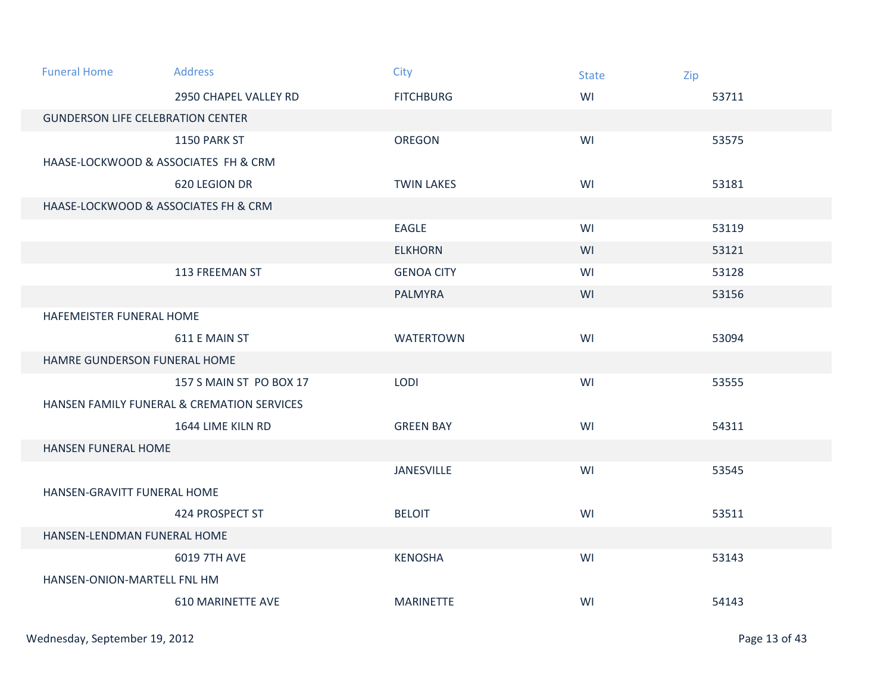| <b>Funeral Home</b>                      | <b>Address</b>                             | City              | <b>State</b> | Zip   |  |  |
|------------------------------------------|--------------------------------------------|-------------------|--------------|-------|--|--|
|                                          | 2950 CHAPEL VALLEY RD                      | <b>FITCHBURG</b>  | WI           | 53711 |  |  |
| <b>GUNDERSON LIFE CELEBRATION CENTER</b> |                                            |                   |              |       |  |  |
|                                          | 1150 PARK ST                               | <b>OREGON</b>     | WI           | 53575 |  |  |
| HAASE-LOCKWOOD & ASSOCIATES FH & CRM     |                                            |                   |              |       |  |  |
|                                          | 620 LEGION DR                              | <b>TWIN LAKES</b> | WI           | 53181 |  |  |
|                                          | HAASE-LOCKWOOD & ASSOCIATES FH & CRM       |                   |              |       |  |  |
|                                          |                                            | EAGLE             | WI           | 53119 |  |  |
|                                          |                                            | <b>ELKHORN</b>    | WI           | 53121 |  |  |
|                                          | 113 FREEMAN ST                             | <b>GENOA CITY</b> | WI           | 53128 |  |  |
|                                          |                                            | <b>PALMYRA</b>    | WI           | 53156 |  |  |
| HAFEMEISTER FUNERAL HOME                 |                                            |                   |              |       |  |  |
|                                          | 611 E MAIN ST                              | <b>WATERTOWN</b>  | WI           | 53094 |  |  |
| HAMRE GUNDERSON FUNERAL HOME             |                                            |                   |              |       |  |  |
|                                          | 157 S MAIN ST PO BOX 17                    | LODI              | WI           | 53555 |  |  |
|                                          | HANSEN FAMILY FUNERAL & CREMATION SERVICES |                   |              |       |  |  |
|                                          | 1644 LIME KILN RD                          | <b>GREEN BAY</b>  | WI           | 54311 |  |  |
| <b>HANSEN FUNERAL HOME</b>               |                                            |                   |              |       |  |  |
|                                          |                                            | <b>JANESVILLE</b> | WI           | 53545 |  |  |
| HANSEN-GRAVITT FUNERAL HOME              |                                            |                   |              |       |  |  |
|                                          | 424 PROSPECT ST                            | <b>BELOIT</b>     | WI           | 53511 |  |  |
| HANSEN-LENDMAN FUNERAL HOME              |                                            |                   |              |       |  |  |
|                                          | 6019 7TH AVE                               | <b>KENOSHA</b>    | WI           | 53143 |  |  |
| HANSEN-ONION-MARTELL FNL HM              |                                            |                   |              |       |  |  |
|                                          | <b>610 MARINETTE AVE</b>                   | <b>MARINETTE</b>  | WI           | 54143 |  |  |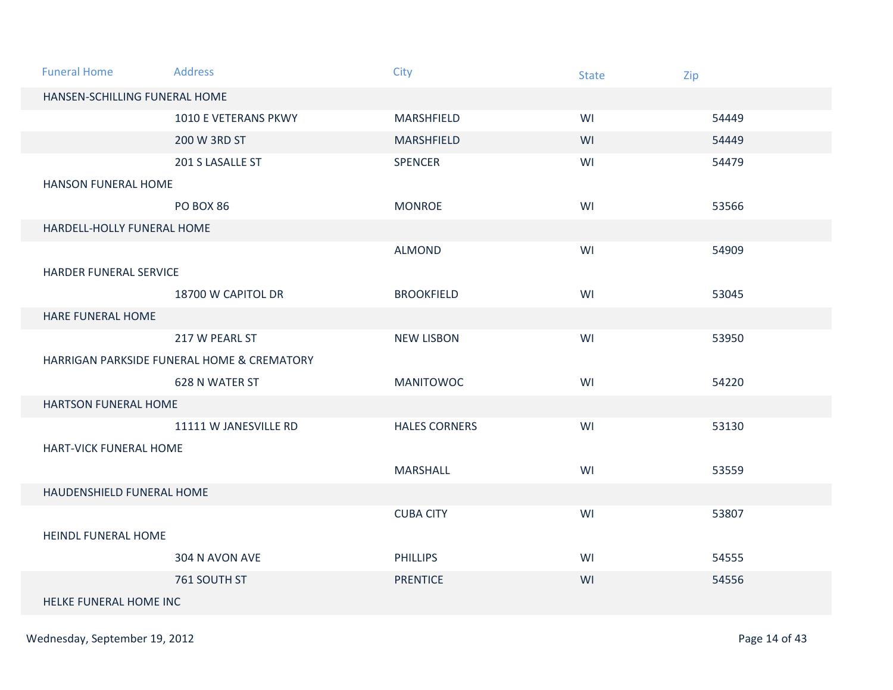| <b>Funeral Home</b>           | <b>Address</b>                             | City                 | <b>State</b> | Zip   |  |  |
|-------------------------------|--------------------------------------------|----------------------|--------------|-------|--|--|
| HANSEN-SCHILLING FUNERAL HOME |                                            |                      |              |       |  |  |
|                               | 1010 E VETERANS PKWY                       | MARSHFIELD           | WI           | 54449 |  |  |
|                               | 200 W 3RD ST                               | MARSHFIELD           | WI           | 54449 |  |  |
|                               | 201 S LASALLE ST                           | <b>SPENCER</b>       | WI           | 54479 |  |  |
| <b>HANSON FUNERAL HOME</b>    |                                            |                      |              |       |  |  |
|                               | <b>PO BOX 86</b>                           | <b>MONROE</b>        | WI           | 53566 |  |  |
| HARDELL-HOLLY FUNERAL HOME    |                                            |                      |              |       |  |  |
|                               |                                            | <b>ALMOND</b>        | WI           | 54909 |  |  |
| <b>HARDER FUNERAL SERVICE</b> |                                            |                      |              |       |  |  |
|                               | 18700 W CAPITOL DR                         | <b>BROOKFIELD</b>    | WI           | 53045 |  |  |
| HARE FUNERAL HOME             |                                            |                      |              |       |  |  |
|                               | 217 W PEARL ST                             | <b>NEW LISBON</b>    | WI           | 53950 |  |  |
|                               | HARRIGAN PARKSIDE FUNERAL HOME & CREMATORY |                      |              |       |  |  |
|                               | 628 N WATER ST                             | <b>MANITOWOC</b>     | WI           | 54220 |  |  |
| <b>HARTSON FUNERAL HOME</b>   |                                            |                      |              |       |  |  |
|                               | 11111 W JANESVILLE RD                      | <b>HALES CORNERS</b> | WI           | 53130 |  |  |
| HART-VICK FUNERAL HOME        |                                            |                      |              |       |  |  |
|                               |                                            | MARSHALL             | WI           | 53559 |  |  |
| HAUDENSHIELD FUNERAL HOME     |                                            |                      |              |       |  |  |
|                               |                                            | <b>CUBA CITY</b>     | WI           | 53807 |  |  |
| <b>HEINDL FUNERAL HOME</b>    |                                            |                      |              |       |  |  |
|                               | 304 N AVON AVE                             | <b>PHILLIPS</b>      | WI           | 54555 |  |  |
|                               | 761 SOUTH ST                               | <b>PRENTICE</b>      | WI           | 54556 |  |  |
|                               | HELKE FUNERAL HOME INC                     |                      |              |       |  |  |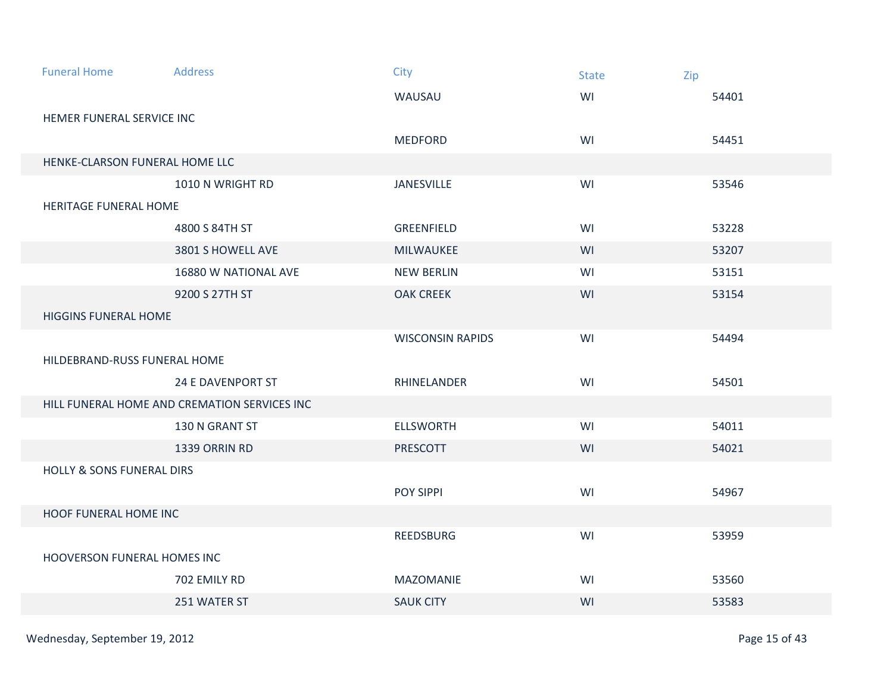| <b>Funeral Home</b>                  | <b>Address</b>                               | City                    | <b>State</b> | Zip   |  |  |  |
|--------------------------------------|----------------------------------------------|-------------------------|--------------|-------|--|--|--|
|                                      |                                              | WAUSAU                  | WI           | 54401 |  |  |  |
| HEMER FUNERAL SERVICE INC            |                                              |                         |              |       |  |  |  |
|                                      |                                              | <b>MEDFORD</b>          | WI           | 54451 |  |  |  |
| HENKE-CLARSON FUNERAL HOME LLC       |                                              |                         |              |       |  |  |  |
|                                      | 1010 N WRIGHT RD                             | JANESVILLE              | WI           | 53546 |  |  |  |
|                                      | HERITAGE FUNERAL HOME                        |                         |              |       |  |  |  |
|                                      | 4800 S 84TH ST                               | <b>GREENFIELD</b>       | WI           | 53228 |  |  |  |
|                                      | 3801 S HOWELL AVE                            | MILWAUKEE               | WI           | 53207 |  |  |  |
|                                      | 16880 W NATIONAL AVE                         | <b>NEW BERLIN</b>       | WI           | 53151 |  |  |  |
|                                      | 9200 S 27TH ST                               | <b>OAK CREEK</b>        | WI           | 53154 |  |  |  |
| <b>HIGGINS FUNERAL HOME</b>          |                                              |                         |              |       |  |  |  |
|                                      |                                              | <b>WISCONSIN RAPIDS</b> | WI           | 54494 |  |  |  |
| HILDEBRAND-RUSS FUNERAL HOME         |                                              |                         |              |       |  |  |  |
|                                      | <b>24 E DAVENPORT ST</b>                     | RHINELANDER             | WI           | 54501 |  |  |  |
|                                      | HILL FUNERAL HOME AND CREMATION SERVICES INC |                         |              |       |  |  |  |
|                                      | 130 N GRANT ST                               | <b>ELLSWORTH</b>        | WI           | 54011 |  |  |  |
|                                      | 1339 ORRIN RD                                | PRESCOTT                | WI           | 54021 |  |  |  |
| <b>HOLLY &amp; SONS FUNERAL DIRS</b> |                                              |                         |              |       |  |  |  |
|                                      |                                              | POY SIPPI               | WI           | 54967 |  |  |  |
| HOOF FUNERAL HOME INC                |                                              |                         |              |       |  |  |  |
|                                      |                                              | REEDSBURG               | WI           | 53959 |  |  |  |
| HOOVERSON FUNERAL HOMES INC          |                                              |                         |              |       |  |  |  |
|                                      | 702 EMILY RD                                 | <b>MAZOMANIE</b>        | WI           | 53560 |  |  |  |
|                                      | 251 WATER ST                                 | <b>SAUK CITY</b>        | WI           | 53583 |  |  |  |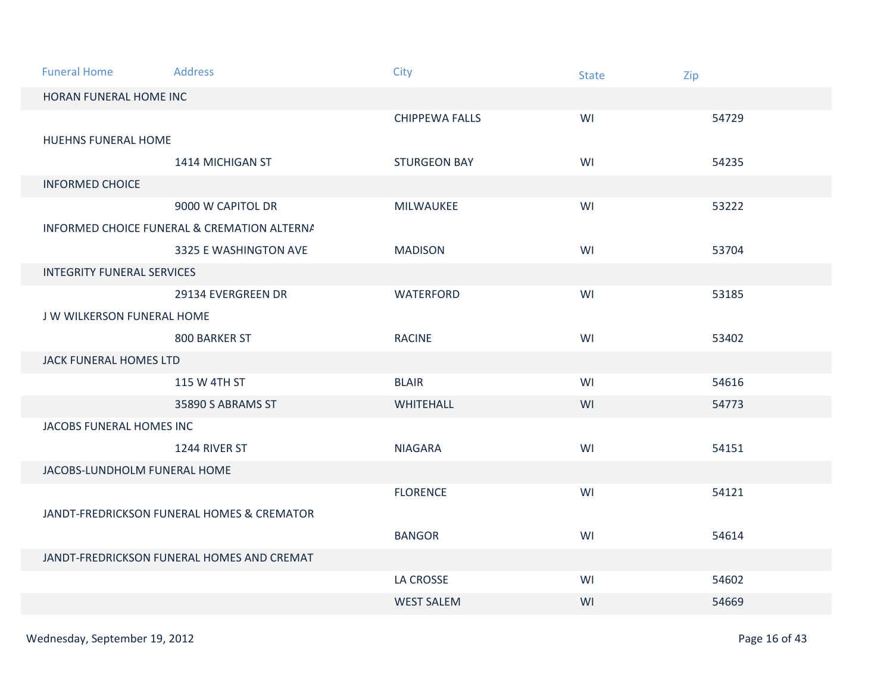| <b>Funeral Home</b>               | <b>Address</b>                              | City                  | <b>State</b> | Zip   |  |  |
|-----------------------------------|---------------------------------------------|-----------------------|--------------|-------|--|--|
| HORAN FUNERAL HOME INC            |                                             |                       |              |       |  |  |
|                                   |                                             | <b>CHIPPEWA FALLS</b> | WI           | 54729 |  |  |
| <b>HUEHNS FUNERAL HOME</b>        |                                             |                       |              |       |  |  |
|                                   | 1414 MICHIGAN ST                            | <b>STURGEON BAY</b>   | WI           | 54235 |  |  |
| <b>INFORMED CHOICE</b>            |                                             |                       |              |       |  |  |
|                                   | 9000 W CAPITOL DR                           | MILWAUKEE             | WI           | 53222 |  |  |
|                                   | INFORMED CHOICE FUNERAL & CREMATION ALTERNA |                       |              |       |  |  |
|                                   | 3325 E WASHINGTON AVE                       | <b>MADISON</b>        | WI           | 53704 |  |  |
| <b>INTEGRITY FUNERAL SERVICES</b> |                                             |                       |              |       |  |  |
|                                   | 29134 EVERGREEN DR                          | WATERFORD             | WI           | 53185 |  |  |
| J W WILKERSON FUNERAL HOME        |                                             |                       |              |       |  |  |
|                                   | 800 BARKER ST                               | <b>RACINE</b>         | WI           | 53402 |  |  |
| <b>JACK FUNERAL HOMES LTD</b>     |                                             |                       |              |       |  |  |
|                                   | 115 W 4TH ST                                | <b>BLAIR</b>          | WI           | 54616 |  |  |
|                                   | 35890 S ABRAMS ST                           | WHITEHALL             | WI           | 54773 |  |  |
| JACOBS FUNERAL HOMES INC          |                                             |                       |              |       |  |  |
|                                   | 1244 RIVER ST                               | <b>NIAGARA</b>        | WI           | 54151 |  |  |
| JACOBS-LUNDHOLM FUNERAL HOME      |                                             |                       |              |       |  |  |
|                                   |                                             | <b>FLORENCE</b>       | WI           | 54121 |  |  |
|                                   | JANDT-FREDRICKSON FUNERAL HOMES & CREMATOR  |                       |              |       |  |  |
|                                   |                                             | <b>BANGOR</b>         | WI           | 54614 |  |  |
|                                   | JANDT-FREDRICKSON FUNERAL HOMES AND CREMAT  |                       |              |       |  |  |
|                                   |                                             | <b>LA CROSSE</b>      | WI           | 54602 |  |  |
|                                   |                                             | <b>WEST SALEM</b>     | WI           | 54669 |  |  |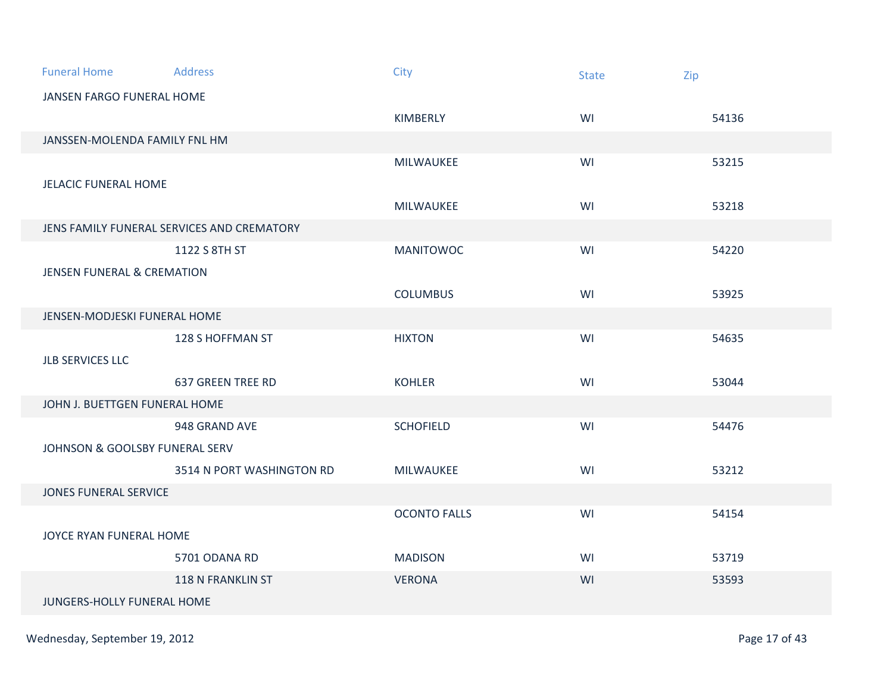| <b>Funeral Home</b>                   | <b>Address</b>                             | City                | <b>State</b> | Zip   |  |  |
|---------------------------------------|--------------------------------------------|---------------------|--------------|-------|--|--|
| JANSEN FARGO FUNERAL HOME             |                                            |                     |              |       |  |  |
|                                       |                                            | KIMBERLY            | WI           | 54136 |  |  |
| JANSSEN-MOLENDA FAMILY FNL HM         |                                            |                     |              |       |  |  |
|                                       |                                            | MILWAUKEE           | WI           | 53215 |  |  |
|                                       | <b>JELACIC FUNERAL HOME</b>                |                     |              |       |  |  |
|                                       |                                            | MILWAUKEE           | WI           | 53218 |  |  |
|                                       | JENS FAMILY FUNERAL SERVICES AND CREMATORY |                     |              |       |  |  |
|                                       | 1122 S 8TH ST                              | <b>MANITOWOC</b>    | WI           | 54220 |  |  |
| <b>JENSEN FUNERAL &amp; CREMATION</b> |                                            |                     |              |       |  |  |
|                                       |                                            | <b>COLUMBUS</b>     | WI           | 53925 |  |  |
| JENSEN-MODJESKI FUNERAL HOME          |                                            |                     |              |       |  |  |
|                                       | 128 S HOFFMAN ST                           | <b>HIXTON</b>       | WI           | 54635 |  |  |
| <b>JLB SERVICES LLC</b>               |                                            |                     |              |       |  |  |
|                                       | <b>637 GREEN TREE RD</b>                   | <b>KOHLER</b>       | WI           | 53044 |  |  |
| JOHN J. BUETTGEN FUNERAL HOME         |                                            |                     |              |       |  |  |
|                                       | 948 GRAND AVE                              | <b>SCHOFIELD</b>    | WI           | 54476 |  |  |
| JOHNSON & GOOLSBY FUNERAL SERV        |                                            |                     |              |       |  |  |
|                                       | 3514 N PORT WASHINGTON RD                  | MILWAUKEE           | WI           | 53212 |  |  |
| <b>JONES FUNERAL SERVICE</b>          |                                            |                     |              |       |  |  |
|                                       |                                            | <b>OCONTO FALLS</b> | WI           | 54154 |  |  |
| JOYCE RYAN FUNERAL HOME               |                                            |                     |              |       |  |  |
|                                       | 5701 ODANA RD                              | <b>MADISON</b>      | WI           | 53719 |  |  |
|                                       | <b>118 N FRANKLIN ST</b>                   | <b>VERONA</b>       | WI           | 53593 |  |  |
|                                       | JUNGERS-HOLLY FUNERAL HOME                 |                     |              |       |  |  |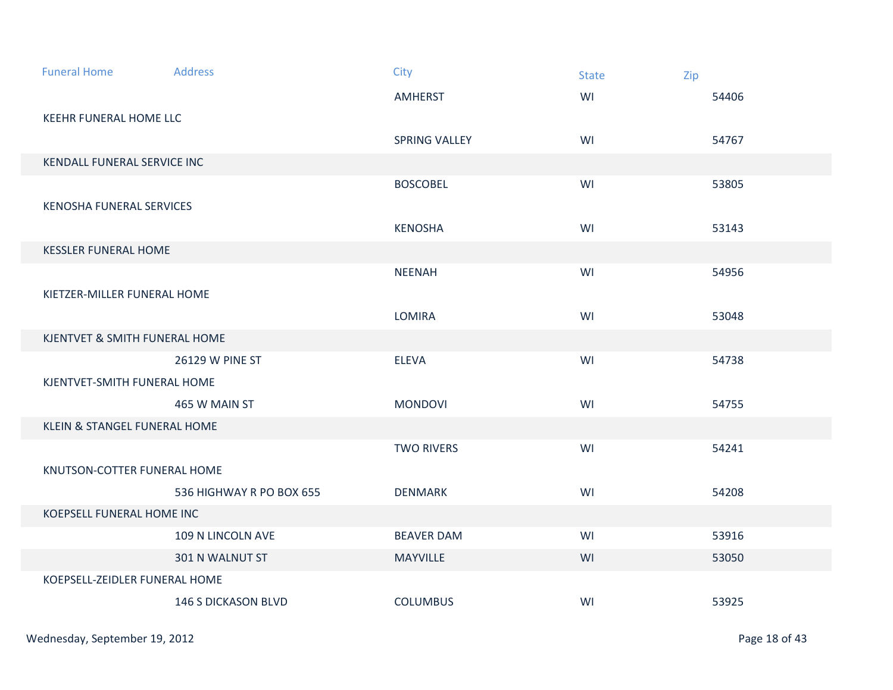| <b>Funeral Home</b>             | Address                     | <b>City</b>       | <b>State</b> | Zip   |  |
|---------------------------------|-----------------------------|-------------------|--------------|-------|--|
|                                 |                             | <b>AMHERST</b>    | WI           | 54406 |  |
| <b>KEEHR FUNERAL HOME LLC</b>   |                             |                   |              |       |  |
|                                 |                             | SPRING VALLEY     | WI           | 54767 |  |
| KENDALL FUNERAL SERVICE INC     |                             |                   |              |       |  |
|                                 |                             | <b>BOSCOBEL</b>   | WI           | 53805 |  |
| <b>KENOSHA FUNERAL SERVICES</b> |                             |                   |              |       |  |
|                                 |                             | <b>KENOSHA</b>    | WI           | 53143 |  |
|                                 | <b>KESSLER FUNERAL HOME</b> |                   |              |       |  |
|                                 |                             | <b>NEENAH</b>     | WI           | 54956 |  |
| KIETZER-MILLER FUNERAL HOME     |                             |                   |              |       |  |
|                                 |                             | <b>LOMIRA</b>     | WI           | 53048 |  |
| KJENTVET & SMITH FUNERAL HOME   |                             |                   |              |       |  |
|                                 | 26129 W PINE ST             | <b>ELEVA</b>      | WI           | 54738 |  |
| KJENTVET-SMITH FUNERAL HOME     |                             |                   |              |       |  |
|                                 | 465 W MAIN ST               | <b>MONDOVI</b>    | WI           | 54755 |  |
| KLEIN & STANGEL FUNERAL HOME    |                             |                   |              |       |  |
|                                 |                             | <b>TWO RIVERS</b> | WI           | 54241 |  |
| KNUTSON-COTTER FUNERAL HOME     |                             |                   |              |       |  |
|                                 | 536 HIGHWAY R PO BOX 655    | <b>DENMARK</b>    | WI           | 54208 |  |
| KOEPSELL FUNERAL HOME INC       |                             |                   |              |       |  |
|                                 | 109 N LINCOLN AVE           | <b>BEAVER DAM</b> | WI           | 53916 |  |
|                                 | 301 N WALNUT ST             | <b>MAYVILLE</b>   | WI           | 53050 |  |
| KOEPSELL-ZEIDLER FUNERAL HOME   |                             |                   |              |       |  |
|                                 | <b>146 S DICKASON BLVD</b>  | <b>COLUMBUS</b>   | WI           | 53925 |  |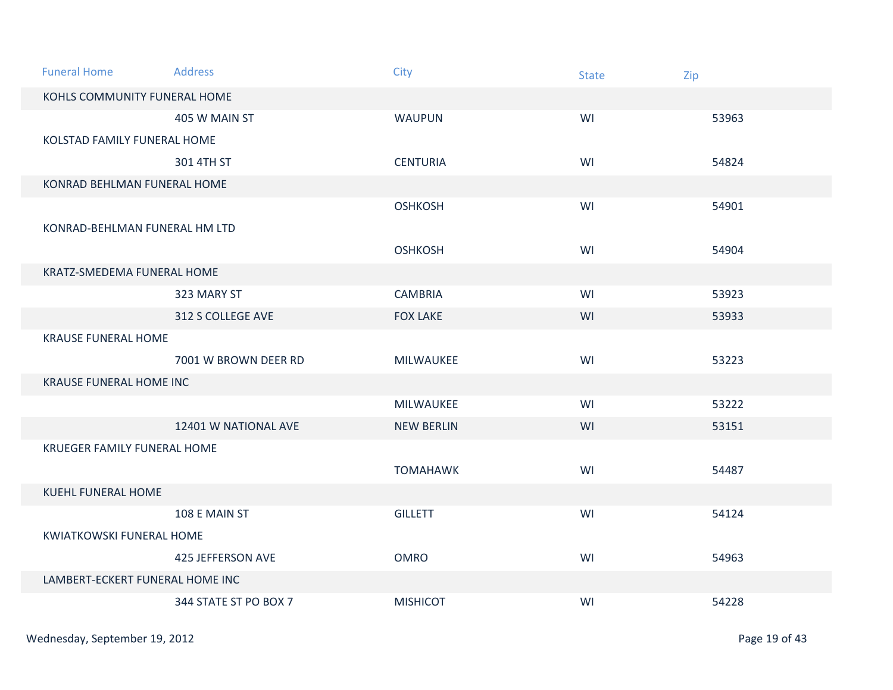| <b>Funeral Home</b>                | <b>Address</b>              | <b>City</b>       | <b>State</b> | Zip   |  |
|------------------------------------|-----------------------------|-------------------|--------------|-------|--|
| KOHLS COMMUNITY FUNERAL HOME       |                             |                   |              |       |  |
|                                    | 405 W MAIN ST               | <b>WAUPUN</b>     | WI           | 53963 |  |
| KOLSTAD FAMILY FUNERAL HOME        |                             |                   |              |       |  |
|                                    | 301 4TH ST                  | <b>CENTURIA</b>   | WI           | 54824 |  |
|                                    | KONRAD BEHLMAN FUNERAL HOME |                   |              |       |  |
|                                    |                             | <b>OSHKOSH</b>    | WI           | 54901 |  |
| KONRAD-BEHLMAN FUNERAL HM LTD      |                             |                   |              |       |  |
|                                    |                             | <b>OSHKOSH</b>    | WI           | 54904 |  |
| KRATZ-SMEDEMA FUNERAL HOME         |                             |                   |              |       |  |
|                                    | 323 MARY ST                 | <b>CAMBRIA</b>    | WI           | 53923 |  |
|                                    | 312 S COLLEGE AVE           | <b>FOX LAKE</b>   | WI           | 53933 |  |
| <b>KRAUSE FUNERAL HOME</b>         |                             |                   |              |       |  |
|                                    | 7001 W BROWN DEER RD        | MILWAUKEE         | WI           | 53223 |  |
| <b>KRAUSE FUNERAL HOME INC</b>     |                             |                   |              |       |  |
|                                    |                             | MILWAUKEE         | WI           | 53222 |  |
|                                    | 12401 W NATIONAL AVE        | <b>NEW BERLIN</b> | WI           | 53151 |  |
| <b>KRUEGER FAMILY FUNERAL HOME</b> |                             |                   |              |       |  |
|                                    |                             | <b>TOMAHAWK</b>   | WI           | 54487 |  |
| <b>KUEHL FUNERAL HOME</b>          |                             |                   |              |       |  |
|                                    | 108 E MAIN ST               | <b>GILLETT</b>    | WI           | 54124 |  |
| <b>KWIATKOWSKI FUNERAL HOME</b>    |                             |                   |              |       |  |
|                                    | <b>425 JEFFERSON AVE</b>    | <b>OMRO</b>       | WI           | 54963 |  |
| LAMBERT-ECKERT FUNERAL HOME INC    |                             |                   |              |       |  |
|                                    | 344 STATE ST PO BOX 7       | <b>MISHICOT</b>   | WI           | 54228 |  |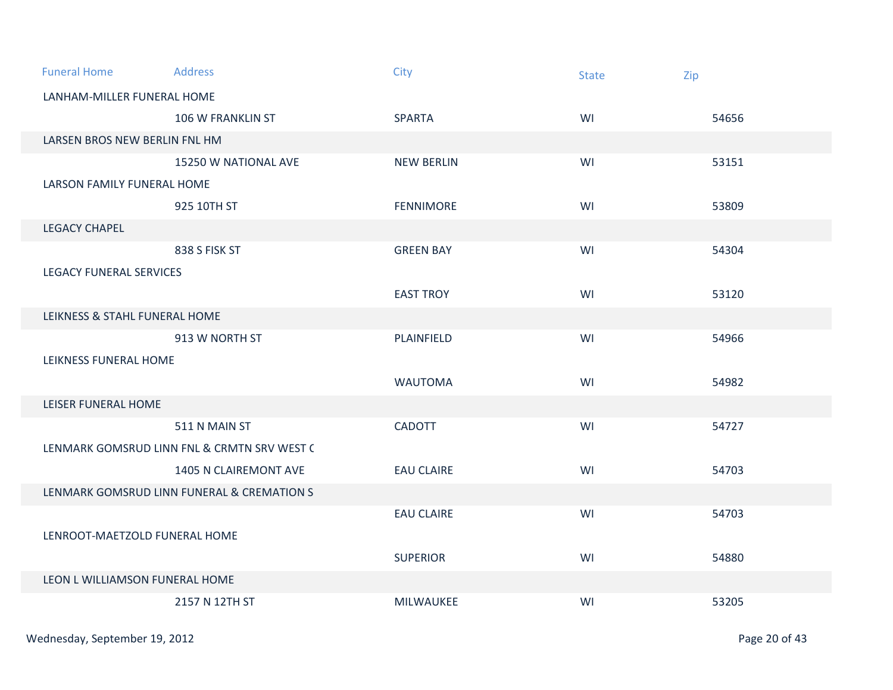| <b>Funeral Home</b>            | <b>Address</b>                              | City              | <b>State</b> | Zip   |
|--------------------------------|---------------------------------------------|-------------------|--------------|-------|
| LANHAM-MILLER FUNERAL HOME     |                                             |                   |              |       |
|                                | 106 W FRANKLIN ST                           | <b>SPARTA</b>     | WI           | 54656 |
| LARSEN BROS NEW BERLIN FNL HM  |                                             |                   |              |       |
|                                | 15250 W NATIONAL AVE                        | <b>NEW BERLIN</b> | WI           | 53151 |
| LARSON FAMILY FUNERAL HOME     |                                             |                   |              |       |
|                                | 925 10TH ST                                 | <b>FENNIMORE</b>  | WI           | 53809 |
| <b>LEGACY CHAPEL</b>           |                                             |                   |              |       |
|                                | 838 S FISK ST                               | <b>GREEN BAY</b>  | WI           | 54304 |
| <b>LEGACY FUNERAL SERVICES</b> |                                             |                   |              |       |
|                                |                                             | <b>EAST TROY</b>  | WI           | 53120 |
| LEIKNESS & STAHL FUNERAL HOME  |                                             |                   |              |       |
|                                | 913 W NORTH ST                              | PLAINFIELD        | WI           | 54966 |
| LEIKNESS FUNERAL HOME          |                                             |                   |              |       |
|                                |                                             | <b>WAUTOMA</b>    | WI           | 54982 |
| LEISER FUNERAL HOME            |                                             |                   |              |       |
|                                | 511 N MAIN ST                               | <b>CADOTT</b>     | WI           | 54727 |
|                                | LENMARK GOMSRUD LINN FNL & CRMTN SRV WEST C |                   |              |       |
|                                | 1405 N CLAIREMONT AVE                       | <b>EAU CLAIRE</b> | WI           | 54703 |
|                                | LENMARK GOMSRUD LINN FUNERAL & CREMATION S  |                   |              |       |
|                                |                                             | <b>EAU CLAIRE</b> | WI           | 54703 |
| LENROOT-MAETZOLD FUNERAL HOME  |                                             |                   |              |       |
|                                |                                             | <b>SUPERIOR</b>   | WI           | 54880 |
| LEON L WILLIAMSON FUNERAL HOME |                                             |                   |              |       |
|                                | 2157 N 12TH ST                              | MILWAUKEE         | WI           | 53205 |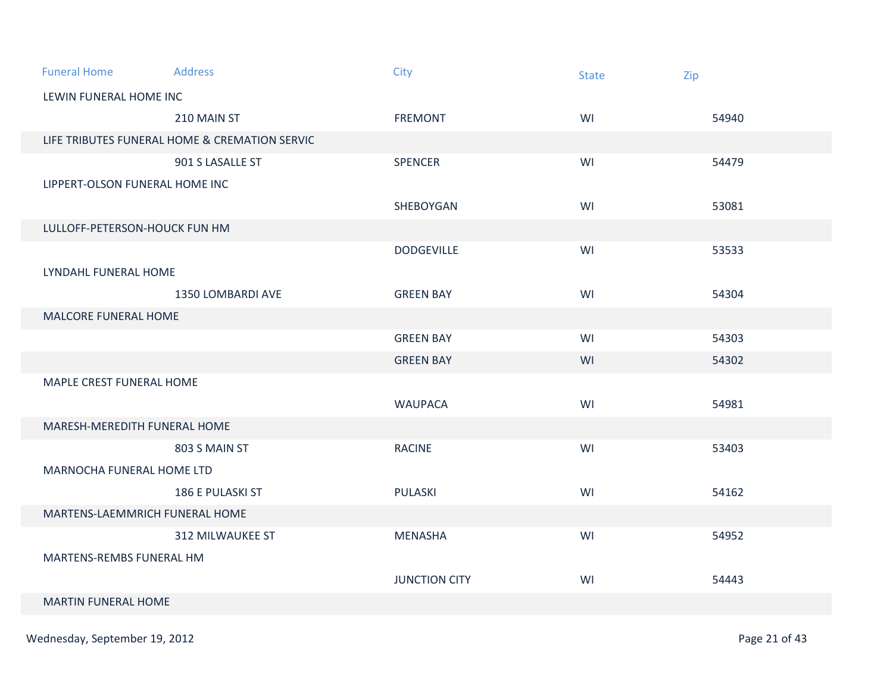| <b>Funeral Home</b>            | Address                                       | City                 | <b>State</b> | Zip   |  |  |
|--------------------------------|-----------------------------------------------|----------------------|--------------|-------|--|--|
| LEWIN FUNERAL HOME INC         |                                               |                      |              |       |  |  |
|                                | 210 MAIN ST                                   | <b>FREMONT</b>       | WI           | 54940 |  |  |
|                                | LIFE TRIBUTES FUNERAL HOME & CREMATION SERVIC |                      |              |       |  |  |
|                                | 901 S LASALLE ST                              | SPENCER              | WI           | 54479 |  |  |
| LIPPERT-OLSON FUNERAL HOME INC |                                               |                      |              |       |  |  |
|                                |                                               | SHEBOYGAN            | WI           | 53081 |  |  |
|                                | LULLOFF-PETERSON-HOUCK FUN HM                 |                      |              |       |  |  |
|                                |                                               | <b>DODGEVILLE</b>    | WI           | 53533 |  |  |
| LYNDAHL FUNERAL HOME           |                                               |                      |              |       |  |  |
|                                | 1350 LOMBARDI AVE                             | <b>GREEN BAY</b>     | WI           | 54304 |  |  |
| MALCORE FUNERAL HOME           |                                               |                      |              |       |  |  |
|                                |                                               | <b>GREEN BAY</b>     | WI           | 54303 |  |  |
|                                |                                               | <b>GREEN BAY</b>     | WI           | 54302 |  |  |
| MAPLE CREST FUNERAL HOME       |                                               |                      |              |       |  |  |
|                                |                                               | <b>WAUPACA</b>       | WI           | 54981 |  |  |
| MARESH-MEREDITH FUNERAL HOME   |                                               |                      |              |       |  |  |
|                                | 803 S MAIN ST                                 | <b>RACINE</b>        | WI           | 53403 |  |  |
| MARNOCHA FUNERAL HOME LTD      |                                               |                      |              |       |  |  |
|                                | <b>186 E PULASKI ST</b>                       | <b>PULASKI</b>       | WI           | 54162 |  |  |
| MARTENS-LAEMMRICH FUNERAL HOME |                                               |                      |              |       |  |  |
|                                | 312 MILWAUKEE ST                              | <b>MENASHA</b>       | WI           | 54952 |  |  |
| MARTENS-REMBS FUNERAL HM       |                                               |                      |              |       |  |  |
|                                |                                               | <b>JUNCTION CITY</b> | WI           | 54443 |  |  |
|                                | <b>MARTIN FUNERAL HOME</b>                    |                      |              |       |  |  |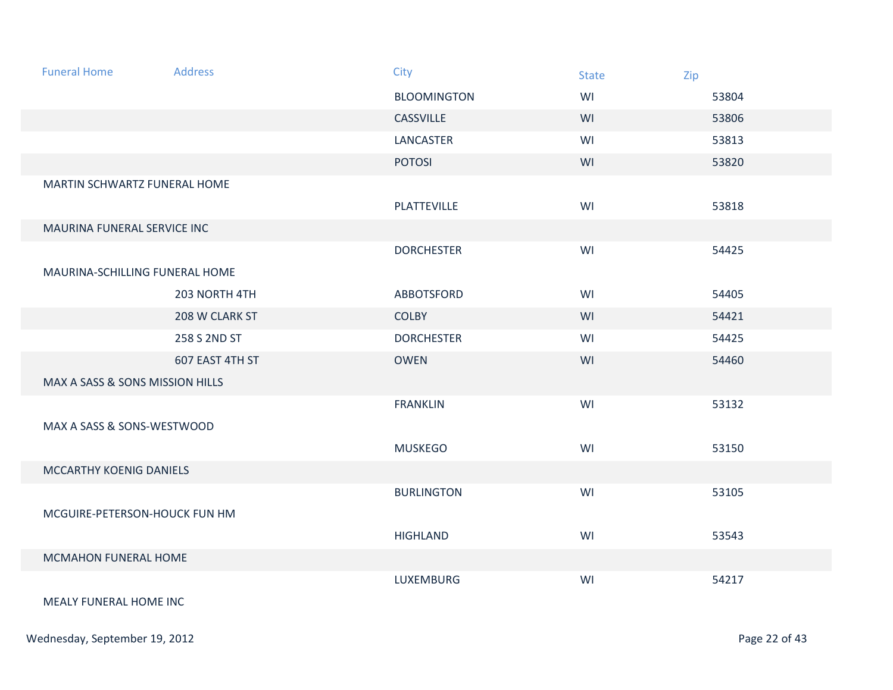| <b>Funeral Home</b>             | <b>Address</b>  | <b>City</b>        | <b>State</b> | Zip   |
|---------------------------------|-----------------|--------------------|--------------|-------|
|                                 |                 | <b>BLOOMINGTON</b> | WI           | 53804 |
|                                 |                 | <b>CASSVILLE</b>   | WI           | 53806 |
|                                 |                 | LANCASTER          | WI           | 53813 |
|                                 |                 | <b>POTOSI</b>      | WI           | 53820 |
| MARTIN SCHWARTZ FUNERAL HOME    |                 |                    |              |       |
|                                 |                 | PLATTEVILLE        | WI           | 53818 |
| MAURINA FUNERAL SERVICE INC     |                 |                    |              |       |
|                                 |                 | <b>DORCHESTER</b>  | WI           | 54425 |
| MAURINA-SCHILLING FUNERAL HOME  |                 |                    |              |       |
|                                 | 203 NORTH 4TH   | <b>ABBOTSFORD</b>  | WI           | 54405 |
|                                 | 208 W CLARK ST  | <b>COLBY</b>       | WI           | 54421 |
|                                 | 258 S 2ND ST    | <b>DORCHESTER</b>  | WI           | 54425 |
|                                 | 607 EAST 4TH ST | <b>OWEN</b>        | WI           | 54460 |
| MAX A SASS & SONS MISSION HILLS |                 |                    |              |       |
|                                 |                 | <b>FRANKLIN</b>    | WI           | 53132 |
| MAX A SASS & SONS-WESTWOOD      |                 |                    |              |       |
|                                 |                 | <b>MUSKEGO</b>     | WI           | 53150 |
| MCCARTHY KOENIG DANIELS         |                 |                    |              |       |
|                                 |                 | <b>BURLINGTON</b>  | WI           | 53105 |
| MCGUIRE-PETERSON-HOUCK FUN HM   |                 |                    |              |       |
|                                 |                 | <b>HIGHLAND</b>    | WI           | 53543 |
| MCMAHON FUNERAL HOME            |                 |                    |              |       |
|                                 |                 | <b>LUXEMBURG</b>   | WI           | 54217 |
| <b>MEALY FUNERAL HOME INC.</b>  |                 |                    |              |       |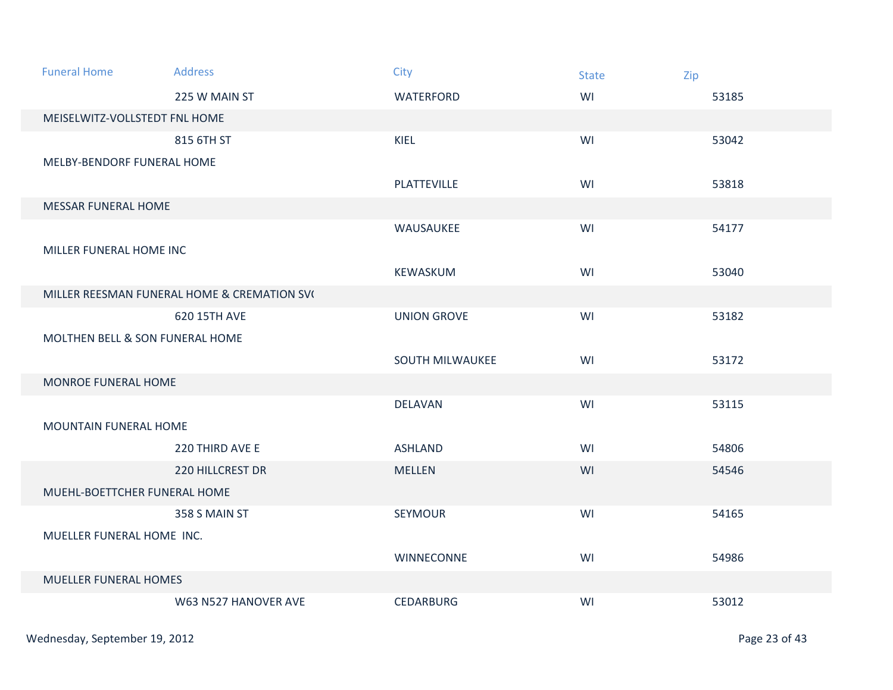| <b>Funeral Home</b>             | <b>Address</b>                              | <b>City</b>            | <b>State</b> | Zip   |
|---------------------------------|---------------------------------------------|------------------------|--------------|-------|
|                                 | 225 W MAIN ST                               | WATERFORD              | WI           | 53185 |
| MEISELWITZ-VOLLSTEDT FNL HOME   |                                             |                        |              |       |
|                                 | 815 6TH ST                                  | KIEL                   | WI           | 53042 |
| MELBY-BENDORF FUNERAL HOME      |                                             |                        |              |       |
|                                 |                                             | PLATTEVILLE            | WI           | 53818 |
| MESSAR FUNERAL HOME             |                                             |                        |              |       |
|                                 |                                             | WAUSAUKEE              | WI           | 54177 |
| MILLER FUNERAL HOME INC         |                                             |                        |              |       |
|                                 |                                             | KEWASKUM               | WI           | 53040 |
|                                 | MILLER REESMAN FUNERAL HOME & CREMATION SV( |                        |              |       |
|                                 | 620 15TH AVE                                | <b>UNION GROVE</b>     | WI           | 53182 |
| MOLTHEN BELL & SON FUNERAL HOME |                                             |                        |              |       |
|                                 |                                             | <b>SOUTH MILWAUKEE</b> | WI           | 53172 |
| MONROE FUNERAL HOME             |                                             |                        |              |       |
|                                 |                                             | <b>DELAVAN</b>         | WI           | 53115 |
| MOUNTAIN FUNERAL HOME           |                                             |                        |              |       |
|                                 | 220 THIRD AVE E                             | <b>ASHLAND</b>         | WI           | 54806 |
|                                 | <b>220 HILLCREST DR</b>                     | <b>MELLEN</b>          | WI           | 54546 |
| MUEHL-BOETTCHER FUNERAL HOME    |                                             |                        |              |       |
|                                 | 358 S MAIN ST                               | <b>SEYMOUR</b>         | WI           | 54165 |
| MUELLER FUNERAL HOME INC.       |                                             |                        |              |       |
|                                 |                                             | <b>WINNECONNE</b>      | WI           | 54986 |
| <b>MUELLER FUNERAL HOMES</b>    |                                             |                        |              |       |
|                                 | W63 N527 HANOVER AVE                        | <b>CEDARBURG</b>       | WI           | 53012 |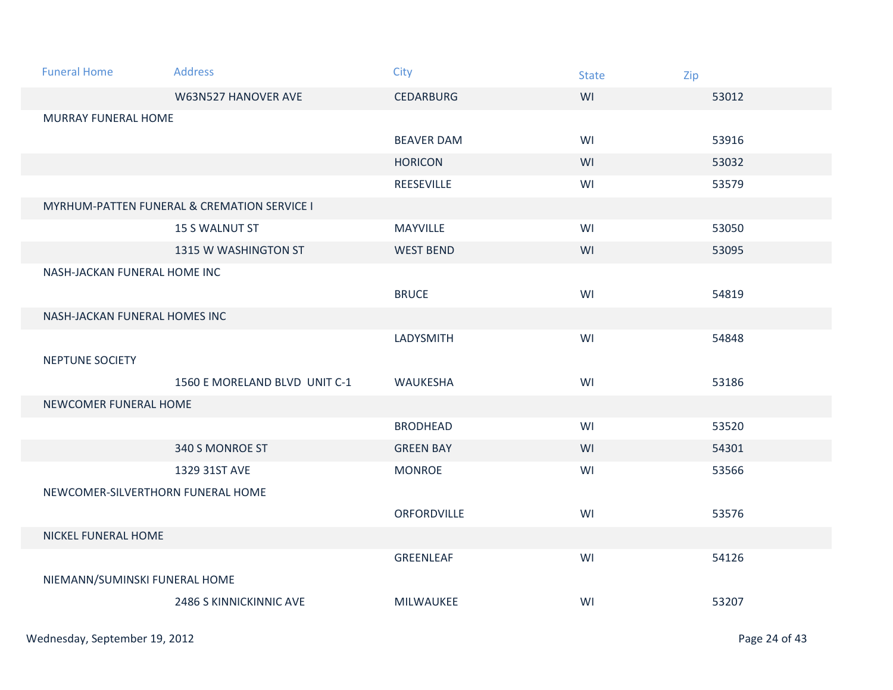| <b>Funeral Home</b>               | Address                                     | <b>City</b>       | <b>State</b> | Zip   |  |  |
|-----------------------------------|---------------------------------------------|-------------------|--------------|-------|--|--|
|                                   | W63N527 HANOVER AVE                         | <b>CEDARBURG</b>  | WI           | 53012 |  |  |
| <b>MURRAY FUNERAL HOME</b>        |                                             |                   |              |       |  |  |
|                                   |                                             | <b>BEAVER DAM</b> | WI           | 53916 |  |  |
|                                   |                                             | <b>HORICON</b>    | WI           | 53032 |  |  |
|                                   |                                             | REESEVILLE        | WI           | 53579 |  |  |
|                                   | MYRHUM-PATTEN FUNERAL & CREMATION SERVICE I |                   |              |       |  |  |
|                                   | <b>15 S WALNUT ST</b>                       | MAYVILLE          | WI           | 53050 |  |  |
|                                   | 1315 W WASHINGTON ST                        | <b>WEST BEND</b>  | WI           | 53095 |  |  |
| NASH-JACKAN FUNERAL HOME INC      |                                             |                   |              |       |  |  |
|                                   |                                             | <b>BRUCE</b>      | WI           | 54819 |  |  |
| NASH-JACKAN FUNERAL HOMES INC     |                                             |                   |              |       |  |  |
|                                   |                                             | LADYSMITH         | WI           | 54848 |  |  |
| NEPTUNE SOCIETY                   |                                             |                   |              |       |  |  |
|                                   | 1560 E MORELAND BLVD UNIT C-1               | WAUKESHA          | WI           | 53186 |  |  |
| NEWCOMER FUNERAL HOME             |                                             |                   |              |       |  |  |
|                                   |                                             | <b>BRODHEAD</b>   | WI           | 53520 |  |  |
|                                   | 340 S MONROE ST                             | <b>GREEN BAY</b>  | WI           | 54301 |  |  |
|                                   | 1329 31ST AVE                               | <b>MONROE</b>     | WI           | 53566 |  |  |
| NEWCOMER-SILVERTHORN FUNERAL HOME |                                             |                   |              |       |  |  |
|                                   |                                             | ORFORDVILLE       | WI           | 53576 |  |  |
| NICKEL FUNERAL HOME               |                                             |                   |              |       |  |  |
|                                   |                                             | GREENLEAF         | WI           | 54126 |  |  |
| NIEMANN/SUMINSKI FUNERAL HOME     |                                             |                   |              |       |  |  |
|                                   | 2486 S KINNICKINNIC AVE                     | MILWAUKEE         | WI           | 53207 |  |  |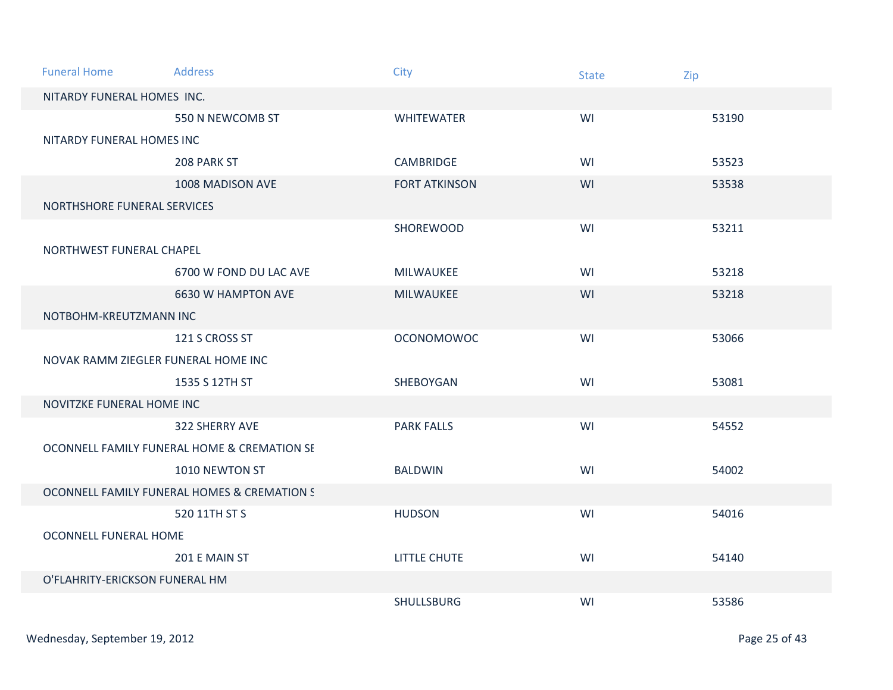| <b>Funeral Home</b>                 | <b>Address</b>                              | City                 | <b>State</b> | Zip   |
|-------------------------------------|---------------------------------------------|----------------------|--------------|-------|
| NITARDY FUNERAL HOMES INC.          |                                             |                      |              |       |
|                                     | 550 N NEWCOMB ST                            | <b>WHITEWATER</b>    | WI           | 53190 |
| NITARDY FUNERAL HOMES INC           |                                             |                      |              |       |
|                                     | 208 PARK ST                                 | <b>CAMBRIDGE</b>     | WI           | 53523 |
|                                     | 1008 MADISON AVE                            | <b>FORT ATKINSON</b> | WI           | 53538 |
| NORTHSHORE FUNERAL SERVICES         |                                             |                      |              |       |
|                                     |                                             | SHOREWOOD            | WI           | 53211 |
| NORTHWEST FUNERAL CHAPEL            |                                             |                      |              |       |
|                                     | 6700 W FOND DU LAC AVE                      | MILWAUKEE            | WI           | 53218 |
|                                     | 6630 W HAMPTON AVE                          | MILWAUKEE            | WI           | 53218 |
| NOTBOHM-KREUTZMANN INC              |                                             |                      |              |       |
|                                     | 121 S CROSS ST                              | <b>OCONOMOWOC</b>    | WI           | 53066 |
| NOVAK RAMM ZIEGLER FUNERAL HOME INC |                                             |                      |              |       |
|                                     | 1535 S 12TH ST                              | SHEBOYGAN            | WI           | 53081 |
| NOVITZKE FUNERAL HOME INC           |                                             |                      |              |       |
|                                     | 322 SHERRY AVE                              | <b>PARK FALLS</b>    | WI           | 54552 |
|                                     | OCONNELL FAMILY FUNERAL HOME & CREMATION SE |                      |              |       |
|                                     | 1010 NEWTON ST                              | <b>BALDWIN</b>       | WI           | 54002 |
|                                     | OCONNELL FAMILY FUNERAL HOMES & CREMATION S |                      |              |       |
|                                     | 520 11TH ST S                               | <b>HUDSON</b>        | WI           | 54016 |
| OCONNELL FUNERAL HOME               |                                             |                      |              |       |
|                                     | 201 E MAIN ST                               | LITTLE CHUTE         | WI           | 54140 |
| O'FLAHRITY-ERICKSON FUNERAL HM      |                                             |                      |              |       |
|                                     |                                             | <b>SHULLSBURG</b>    | WI           | 53586 |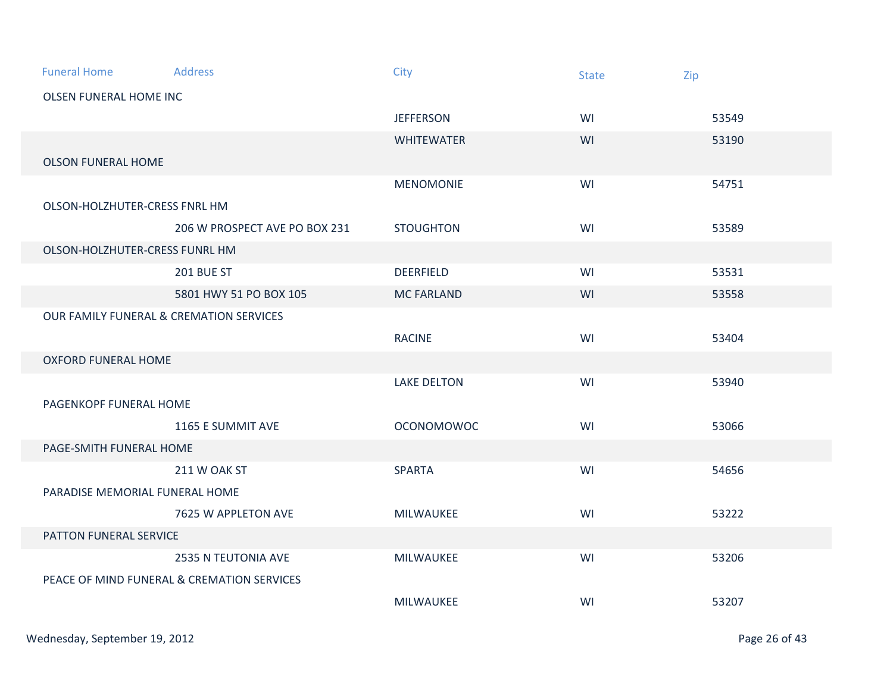| <b>Funeral Home</b>                                | <b>Address</b>                             | City               | <b>State</b> | Zip   |  |
|----------------------------------------------------|--------------------------------------------|--------------------|--------------|-------|--|
| <b>OLSEN FUNERAL HOME INC</b>                      |                                            |                    |              |       |  |
|                                                    |                                            | <b>JEFFERSON</b>   | WI           | 53549 |  |
|                                                    |                                            | <b>WHITEWATER</b>  | WI           | 53190 |  |
| <b>OLSON FUNERAL HOME</b>                          |                                            |                    |              |       |  |
|                                                    |                                            | <b>MENOMONIE</b>   | WI           | 54751 |  |
| OLSON-HOLZHUTER-CRESS FNRL HM                      |                                            |                    |              |       |  |
|                                                    | 206 W PROSPECT AVE PO BOX 231              | <b>STOUGHTON</b>   | WI           | 53589 |  |
| OLSON-HOLZHUTER-CRESS FUNRL HM                     |                                            |                    |              |       |  |
|                                                    | <b>201 BUE ST</b>                          | <b>DEERFIELD</b>   | WI           | 53531 |  |
|                                                    | 5801 HWY 51 PO BOX 105                     | <b>MC FARLAND</b>  | WI           | 53558 |  |
| <b>OUR FAMILY FUNERAL &amp; CREMATION SERVICES</b> |                                            |                    |              |       |  |
|                                                    |                                            | <b>RACINE</b>      | WI           | 53404 |  |
| <b>OXFORD FUNERAL HOME</b>                         |                                            |                    |              |       |  |
|                                                    |                                            | <b>LAKE DELTON</b> | WI           | 53940 |  |
| PAGENKOPF FUNERAL HOME                             |                                            |                    |              |       |  |
|                                                    | 1165 E SUMMIT AVE                          | <b>OCONOMOWOC</b>  | WI           | 53066 |  |
| PAGE-SMITH FUNERAL HOME                            |                                            |                    |              |       |  |
|                                                    | 211 W OAK ST                               | <b>SPARTA</b>      | WI           | 54656 |  |
| PARADISE MEMORIAL FUNERAL HOME                     |                                            |                    |              |       |  |
|                                                    | 7625 W APPLETON AVE                        | MILWAUKEE          | WI           | 53222 |  |
| PATTON FUNERAL SERVICE                             |                                            |                    |              |       |  |
|                                                    | 2535 N TEUTONIA AVE                        | MILWAUKEE          | WI           | 53206 |  |
|                                                    | PEACE OF MIND FUNERAL & CREMATION SERVICES |                    |              |       |  |
|                                                    |                                            | MILWAUKEE          | WI           | 53207 |  |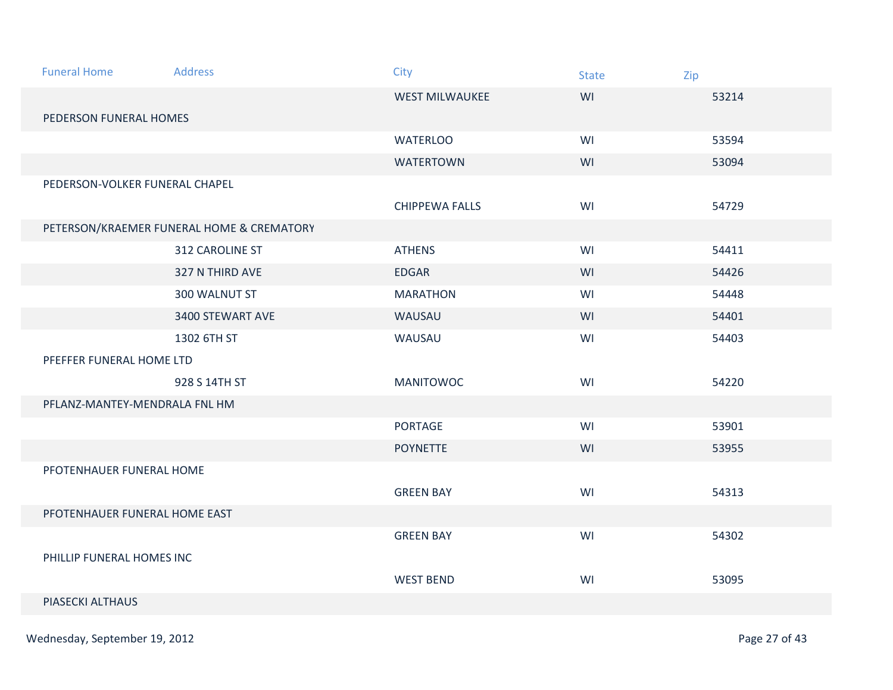| <b>Funeral Home</b>           | <b>Address</b>                            | City                  | <b>State</b> | Zip   |  |  |
|-------------------------------|-------------------------------------------|-----------------------|--------------|-------|--|--|
|                               |                                           | <b>WEST MILWAUKEE</b> | WI           | 53214 |  |  |
| PEDERSON FUNERAL HOMES        |                                           |                       |              |       |  |  |
|                               |                                           | <b>WATERLOO</b>       | WI           | 53594 |  |  |
|                               |                                           | <b>WATERTOWN</b>      | WI           | 53094 |  |  |
|                               | PEDERSON-VOLKER FUNERAL CHAPEL            |                       |              |       |  |  |
|                               |                                           | <b>CHIPPEWA FALLS</b> | WI           | 54729 |  |  |
|                               | PETERSON/KRAEMER FUNERAL HOME & CREMATORY |                       |              |       |  |  |
|                               | 312 CAROLINE ST                           | <b>ATHENS</b>         | WI           | 54411 |  |  |
|                               | 327 N THIRD AVE                           | <b>EDGAR</b>          | WI           | 54426 |  |  |
|                               | 300 WALNUT ST                             | <b>MARATHON</b>       | WI           | 54448 |  |  |
|                               | 3400 STEWART AVE                          | WAUSAU                | WI           | 54401 |  |  |
|                               | 1302 6TH ST                               | WAUSAU                | WI           | 54403 |  |  |
| PFEFFER FUNERAL HOME LTD      |                                           |                       |              |       |  |  |
|                               | 928 S 14TH ST                             | <b>MANITOWOC</b>      | WI           | 54220 |  |  |
| PFLANZ-MANTEY-MENDRALA FNL HM |                                           |                       |              |       |  |  |
|                               |                                           | <b>PORTAGE</b>        | WI           | 53901 |  |  |
|                               |                                           | <b>POYNETTE</b>       | WI           | 53955 |  |  |
| PFOTENHAUER FUNERAL HOME      |                                           |                       |              |       |  |  |
|                               |                                           | <b>GREEN BAY</b>      | WI           | 54313 |  |  |
| PFOTENHAUER FUNERAL HOME EAST |                                           |                       |              |       |  |  |
|                               |                                           | <b>GREEN BAY</b>      | WI           | 54302 |  |  |
| PHILLIP FUNERAL HOMES INC     |                                           |                       |              |       |  |  |
|                               |                                           | <b>WEST BEND</b>      | WI           | 53095 |  |  |
| PIASECKI ALTHAUS              |                                           |                       |              |       |  |  |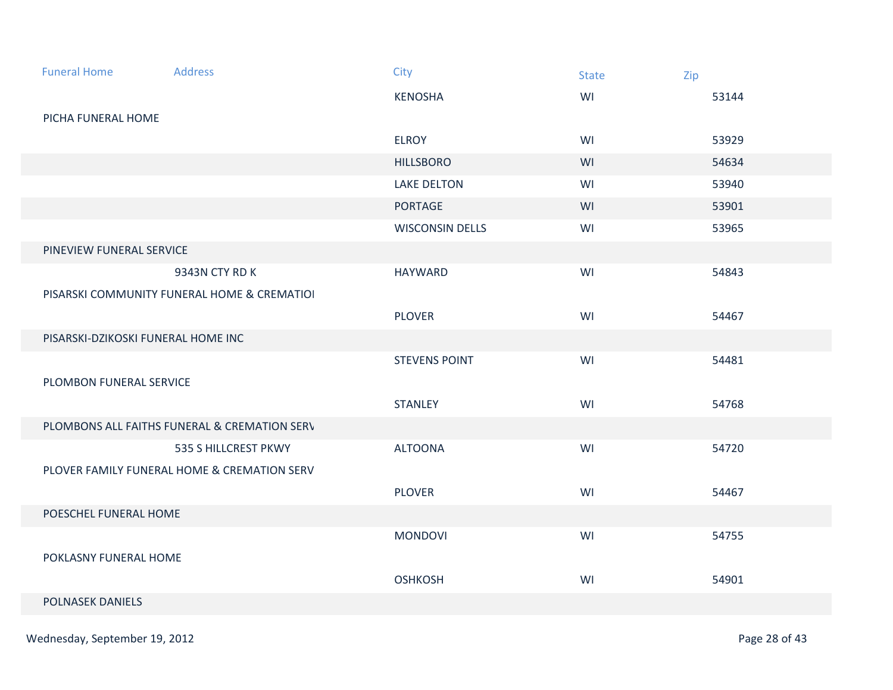| <b>Funeral Home</b>                | <b>Address</b>                               | City                   | <b>State</b> | Zip   |
|------------------------------------|----------------------------------------------|------------------------|--------------|-------|
|                                    |                                              | <b>KENOSHA</b>         | WI           | 53144 |
| PICHA FUNERAL HOME                 |                                              |                        |              |       |
|                                    |                                              | <b>ELROY</b>           | WI           | 53929 |
|                                    |                                              | <b>HILLSBORO</b>       | WI           | 54634 |
|                                    |                                              | <b>LAKE DELTON</b>     | WI           | 53940 |
|                                    |                                              | <b>PORTAGE</b>         | WI           | 53901 |
|                                    |                                              | <b>WISCONSIN DELLS</b> | WI           | 53965 |
| PINEVIEW FUNERAL SERVICE           |                                              |                        |              |       |
|                                    | 9343N CTY RD K                               | <b>HAYWARD</b>         | WI           | 54843 |
|                                    | PISARSKI COMMUNITY FUNERAL HOME & CREMATIOI  |                        |              |       |
|                                    |                                              | <b>PLOVER</b>          | WI           | 54467 |
| PISARSKI-DZIKOSKI FUNERAL HOME INC |                                              |                        |              |       |
|                                    |                                              | <b>STEVENS POINT</b>   | WI           | 54481 |
| PLOMBON FUNERAL SERVICE            |                                              |                        |              |       |
|                                    |                                              | <b>STANLEY</b>         | WI           | 54768 |
|                                    | PLOMBONS ALL FAITHS FUNERAL & CREMATION SERV |                        |              |       |
|                                    | 535 S HILLCREST PKWY                         | <b>ALTOONA</b>         | WI           | 54720 |
|                                    | PLOVER FAMILY FUNERAL HOME & CREMATION SERV  |                        |              |       |
|                                    |                                              | <b>PLOVER</b>          | WI           | 54467 |
| POESCHEL FUNERAL HOME              |                                              |                        |              |       |
|                                    |                                              | <b>MONDOVI</b>         | WI           | 54755 |
| POKLASNY FUNERAL HOME              |                                              |                        |              |       |
|                                    |                                              | <b>OSHKOSH</b>         | WI           | 54901 |
| <b>POLNASEK DANIELS</b>            |                                              |                        |              |       |
|                                    |                                              |                        |              |       |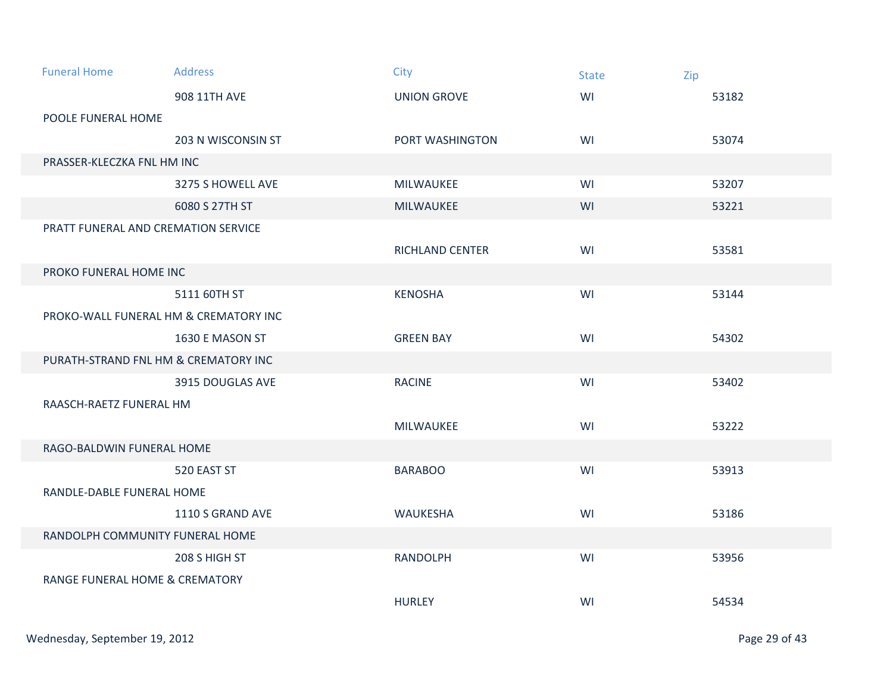| <b>Funeral Home</b>                       | <b>Address</b>     | City               | <b>State</b> | Zip   |
|-------------------------------------------|--------------------|--------------------|--------------|-------|
|                                           | 908 11TH AVE       | <b>UNION GROVE</b> | WI           | 53182 |
| POOLE FUNERAL HOME                        |                    |                    |              |       |
|                                           | 203 N WISCONSIN ST | PORT WASHINGTON    | WI           | 53074 |
| PRASSER-KLECZKA FNL HM INC                |                    |                    |              |       |
|                                           | 3275 S HOWELL AVE  | MILWAUKEE          | WI           | 53207 |
|                                           | 6080 S 27TH ST     | MILWAUKEE          | WI           | 53221 |
| PRATT FUNERAL AND CREMATION SERVICE       |                    |                    |              |       |
|                                           |                    | RICHLAND CENTER    | WI           | 53581 |
| PROKO FUNERAL HOME INC                    |                    |                    |              |       |
|                                           | 5111 60TH ST       | <b>KENOSHA</b>     | WI           | 53144 |
| PROKO-WALL FUNERAL HM & CREMATORY INC     |                    |                    |              |       |
|                                           | 1630 E MASON ST    | <b>GREEN BAY</b>   | WI           | 54302 |
| PURATH-STRAND FNL HM & CREMATORY INC      |                    |                    |              |       |
|                                           | 3915 DOUGLAS AVE   | <b>RACINE</b>      | WI           | 53402 |
| RAASCH-RAETZ FUNERAL HM                   |                    |                    |              |       |
|                                           |                    | MILWAUKEE          | WI           | 53222 |
| RAGO-BALDWIN FUNERAL HOME                 |                    |                    |              |       |
|                                           | 520 EAST ST        | <b>BARABOO</b>     | WI           | 53913 |
| RANDLE-DABLE FUNERAL HOME                 |                    |                    |              |       |
|                                           | 1110 S GRAND AVE   | WAUKESHA           | WI           | 53186 |
| RANDOLPH COMMUNITY FUNERAL HOME           |                    |                    |              |       |
|                                           | 208 S HIGH ST      | <b>RANDOLPH</b>    | WI           | 53956 |
| <b>RANGE FUNERAL HOME &amp; CREMATORY</b> |                    |                    |              |       |
|                                           |                    | <b>HURLEY</b>      | WI           | 54534 |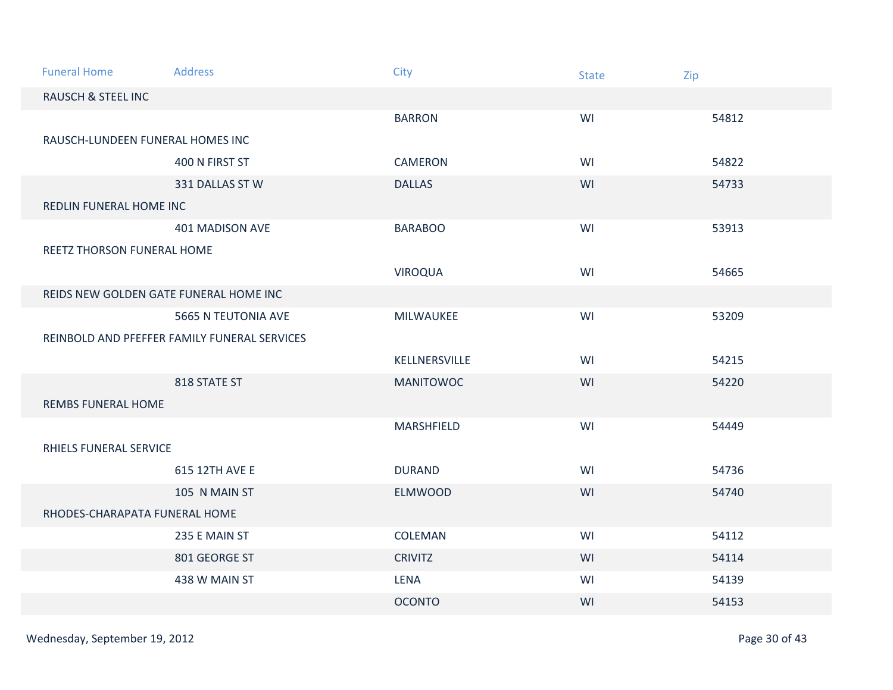| <b>Funeral Home</b>                          | <b>Address</b>                         | City             | <b>State</b> | Zip   |
|----------------------------------------------|----------------------------------------|------------------|--------------|-------|
| <b>RAUSCH &amp; STEEL INC</b>                |                                        |                  |              |       |
|                                              |                                        | <b>BARRON</b>    | WI           | 54812 |
| RAUSCH-LUNDEEN FUNERAL HOMES INC             |                                        |                  |              |       |
|                                              | 400 N FIRST ST                         | <b>CAMERON</b>   | WI           | 54822 |
|                                              | 331 DALLAS ST W                        | <b>DALLAS</b>    | WI           | 54733 |
| REDLIN FUNERAL HOME INC                      |                                        |                  |              |       |
|                                              | 401 MADISON AVE                        | <b>BARABOO</b>   | WI           | 53913 |
| REETZ THORSON FUNERAL HOME                   |                                        |                  |              |       |
|                                              |                                        | <b>VIROQUA</b>   | WI           | 54665 |
|                                              | REIDS NEW GOLDEN GATE FUNERAL HOME INC |                  |              |       |
|                                              | 5665 N TEUTONIA AVE                    | MILWAUKEE        | WI           | 53209 |
| REINBOLD AND PFEFFER FAMILY FUNERAL SERVICES |                                        |                  |              |       |
|                                              |                                        | KELLNERSVILLE    | WI           | 54215 |
|                                              | 818 STATE ST                           | <b>MANITOWOC</b> | WI           | 54220 |
| <b>REMBS FUNERAL HOME</b>                    |                                        |                  |              |       |
|                                              |                                        | MARSHFIELD       | WI           | 54449 |
| RHIELS FUNERAL SERVICE                       |                                        |                  |              |       |
|                                              | 615 12TH AVE E                         | <b>DURAND</b>    | WI           | 54736 |
|                                              | 105 N MAIN ST                          | <b>ELMWOOD</b>   | WI           | 54740 |
| RHODES-CHARAPATA FUNERAL HOME                |                                        |                  |              |       |
|                                              | 235 E MAIN ST                          | COLEMAN          | WI           | 54112 |
|                                              | 801 GEORGE ST                          | <b>CRIVITZ</b>   | WI           | 54114 |
|                                              | 438 W MAIN ST                          | LENA             | WI           | 54139 |
|                                              |                                        | <b>OCONTO</b>    | WI           | 54153 |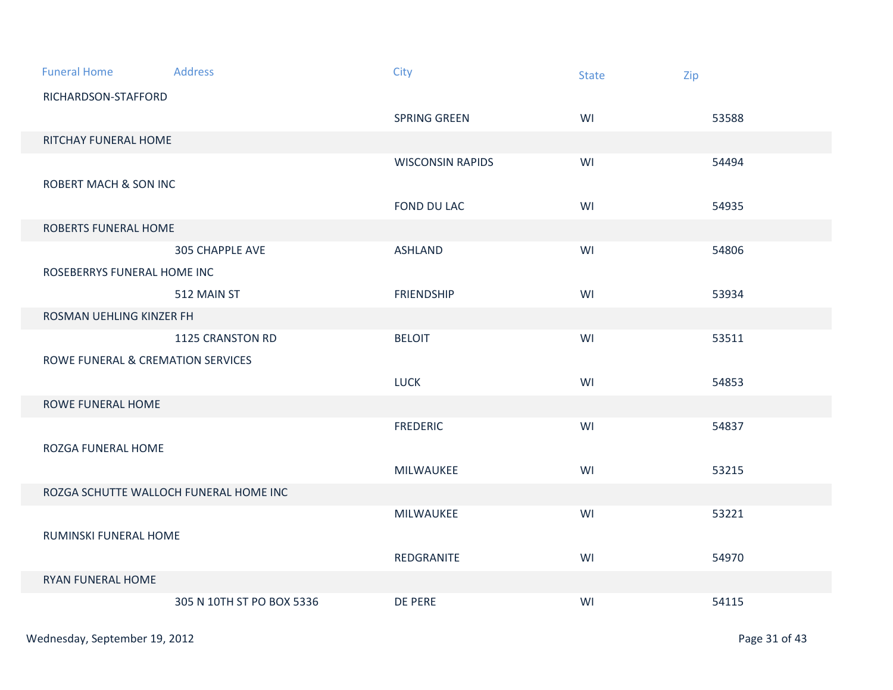| <b>Funeral Home</b>               | Address                                | City                    | <b>State</b> | Zip   |  |  |
|-----------------------------------|----------------------------------------|-------------------------|--------------|-------|--|--|
| RICHARDSON-STAFFORD               |                                        |                         |              |       |  |  |
|                                   |                                        | SPRING GREEN            | WI           | 53588 |  |  |
| RITCHAY FUNERAL HOME              |                                        |                         |              |       |  |  |
|                                   |                                        | <b>WISCONSIN RAPIDS</b> | WI           | 54494 |  |  |
| <b>ROBERT MACH &amp; SON INC</b>  |                                        |                         |              |       |  |  |
|                                   |                                        | FOND DU LAC             | WI           | 54935 |  |  |
|                                   | ROBERTS FUNERAL HOME                   |                         |              |       |  |  |
|                                   | <b>305 CHAPPLE AVE</b>                 | <b>ASHLAND</b>          | WI           | 54806 |  |  |
| ROSEBERRYS FUNERAL HOME INC       |                                        |                         |              |       |  |  |
|                                   | 512 MAIN ST                            | <b>FRIENDSHIP</b>       | WI           | 53934 |  |  |
| ROSMAN UEHLING KINZER FH          |                                        |                         |              |       |  |  |
|                                   | 1125 CRANSTON RD                       | <b>BELOIT</b>           | WI           | 53511 |  |  |
| ROWE FUNERAL & CREMATION SERVICES |                                        |                         |              |       |  |  |
|                                   |                                        | <b>LUCK</b>             | WI           | 54853 |  |  |
| ROWE FUNERAL HOME                 |                                        |                         |              |       |  |  |
|                                   |                                        | <b>FREDERIC</b>         | WI           | 54837 |  |  |
| ROZGA FUNERAL HOME                |                                        |                         |              |       |  |  |
|                                   |                                        | MILWAUKEE               | WI           | 53215 |  |  |
|                                   | ROZGA SCHUTTE WALLOCH FUNERAL HOME INC |                         |              |       |  |  |
|                                   |                                        | MILWAUKEE               | WI           | 53221 |  |  |
| RUMINSKI FUNERAL HOME             |                                        |                         |              |       |  |  |
|                                   |                                        | REDGRANITE              | WI           | 54970 |  |  |
| RYAN FUNERAL HOME                 |                                        |                         |              |       |  |  |
|                                   | 305 N 10TH ST PO BOX 5336              | DE PERE                 | WI           | 54115 |  |  |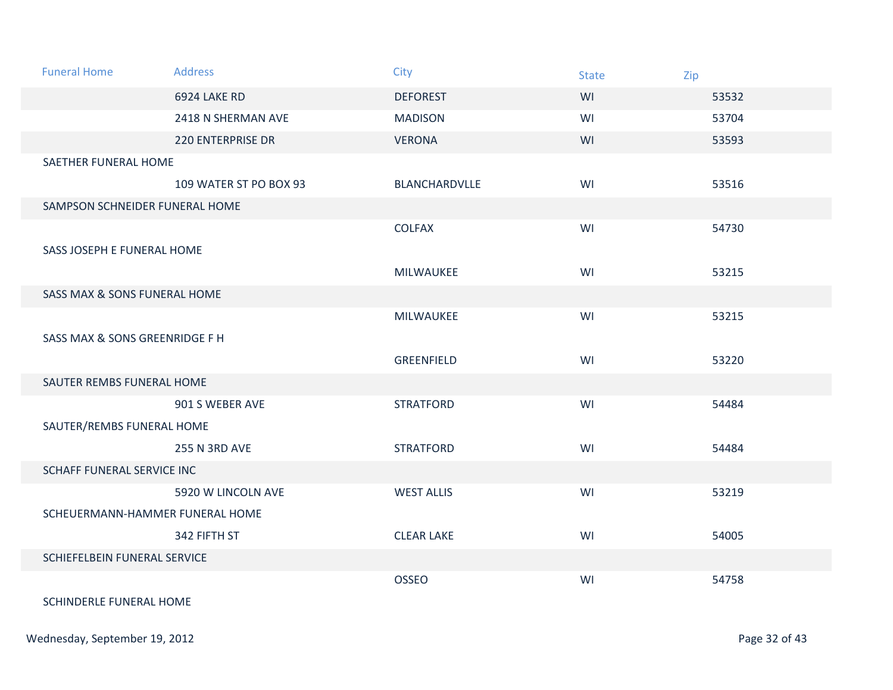| <b>Funeral Home</b>             | <b>Address</b>           | <b>City</b>       | <b>State</b> | Zip   |
|---------------------------------|--------------------------|-------------------|--------------|-------|
|                                 | 6924 LAKE RD             | <b>DEFOREST</b>   | WI           | 53532 |
|                                 | 2418 N SHERMAN AVE       | <b>MADISON</b>    | WI           | 53704 |
|                                 | <b>220 ENTERPRISE DR</b> | <b>VERONA</b>     | WI           | 53593 |
| SAETHER FUNERAL HOME            |                          |                   |              |       |
|                                 | 109 WATER ST PO BOX 93   | BLANCHARDVLLE     | WI           | 53516 |
| SAMPSON SCHNEIDER FUNERAL HOME  |                          |                   |              |       |
|                                 |                          | <b>COLFAX</b>     | WI           | 54730 |
| SASS JOSEPH E FUNERAL HOME      |                          |                   |              |       |
|                                 |                          | MILWAUKEE         | WI           | 53215 |
| SASS MAX & SONS FUNERAL HOME    |                          |                   |              |       |
|                                 |                          | MILWAUKEE         | WI           | 53215 |
| SASS MAX & SONS GREENRIDGE F H  |                          |                   |              |       |
|                                 |                          | GREENFIELD        | WI           | 53220 |
| SAUTER REMBS FUNERAL HOME       |                          |                   |              |       |
|                                 | 901 S WEBER AVE          | <b>STRATFORD</b>  | WI           | 54484 |
| SAUTER/REMBS FUNERAL HOME       |                          |                   |              |       |
|                                 | <b>255 N 3RD AVE</b>     | <b>STRATFORD</b>  | WI           | 54484 |
| SCHAFF FUNERAL SERVICE INC      |                          |                   |              |       |
|                                 | 5920 W LINCOLN AVE       | <b>WEST ALLIS</b> | WI           | 53219 |
| SCHEUERMANN-HAMMER FUNERAL HOME |                          |                   |              |       |
|                                 | 342 FIFTH ST             | <b>CLEAR LAKE</b> | WI           | 54005 |
| SCHIEFELBEIN FUNERAL SERVICE    |                          |                   |              |       |
|                                 |                          | <b>OSSEO</b>      | WI           | 54758 |
| SCHINDERLE FUNERAL HOME         |                          |                   |              |       |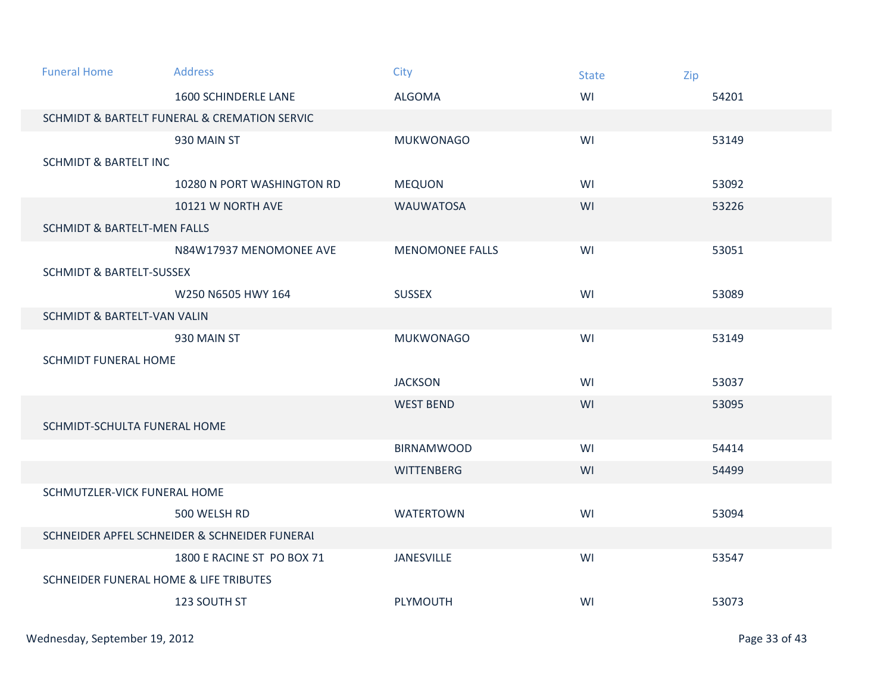| <b>Funeral Home</b>                    | <b>Address</b>                                | City                   | <b>State</b> | Zip   |  |  |
|----------------------------------------|-----------------------------------------------|------------------------|--------------|-------|--|--|
|                                        | <b>1600 SCHINDERLE LANE</b>                   | <b>ALGOMA</b>          | WI           | 54201 |  |  |
|                                        | SCHMIDT & BARTELT FUNERAL & CREMATION SERVIC  |                        |              |       |  |  |
|                                        | 930 MAIN ST                                   | <b>MUKWONAGO</b>       | WI           | 53149 |  |  |
| <b>SCHMIDT &amp; BARTELT INC</b>       |                                               |                        |              |       |  |  |
|                                        | 10280 N PORT WASHINGTON RD                    | <b>MEQUON</b>          | WI           | 53092 |  |  |
|                                        | 10121 W NORTH AVE                             | <b>WAUWATOSA</b>       | WI           | 53226 |  |  |
| <b>SCHMIDT &amp; BARTELT-MEN FALLS</b> |                                               |                        |              |       |  |  |
|                                        | N84W17937 MENOMONEE AVE                       | <b>MENOMONEE FALLS</b> | WI           | 53051 |  |  |
| <b>SCHMIDT &amp; BARTELT-SUSSEX</b>    |                                               |                        |              |       |  |  |
|                                        | W250 N6505 HWY 164                            | <b>SUSSEX</b>          | WI           | 53089 |  |  |
|                                        | <b>SCHMIDT &amp; BARTELT-VAN VALIN</b>        |                        |              |       |  |  |
|                                        | 930 MAIN ST                                   | <b>MUKWONAGO</b>       | WI           | 53149 |  |  |
| <b>SCHMIDT FUNERAL HOME</b>            |                                               |                        |              |       |  |  |
|                                        |                                               | <b>JACKSON</b>         | WI           | 53037 |  |  |
|                                        |                                               | <b>WEST BEND</b>       | WI           | 53095 |  |  |
| SCHMIDT-SCHULTA FUNERAL HOME           |                                               |                        |              |       |  |  |
|                                        |                                               | <b>BIRNAMWOOD</b>      | WI           | 54414 |  |  |
|                                        |                                               | <b>WITTENBERG</b>      | WI           | 54499 |  |  |
| SCHMUTZLER-VICK FUNERAL HOME           |                                               |                        |              |       |  |  |
|                                        | 500 WELSH RD                                  | <b>WATERTOWN</b>       | WI           | 53094 |  |  |
|                                        | SCHNEIDER APFEL SCHNEIDER & SCHNEIDER FUNERAL |                        |              |       |  |  |
|                                        | 1800 E RACINE ST PO BOX 71                    | <b>JANESVILLE</b>      | WI           | 53547 |  |  |
| SCHNEIDER FUNERAL HOME & LIFE TRIBUTES |                                               |                        |              |       |  |  |
|                                        | 123 SOUTH ST                                  | PLYMOUTH               | WI           | 53073 |  |  |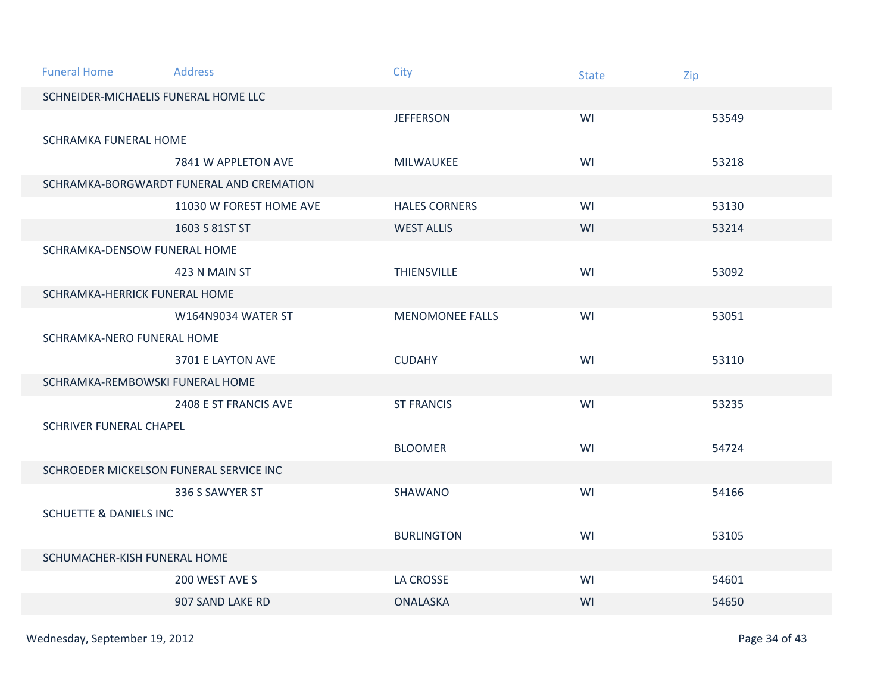| <b>Funeral Home</b>                     | <b>Address</b>                           | City                   | <b>State</b> | Zip   |
|-----------------------------------------|------------------------------------------|------------------------|--------------|-------|
| SCHNEIDER-MICHAELIS FUNERAL HOME LLC    |                                          |                        |              |       |
|                                         |                                          | <b>JEFFERSON</b>       | WI           | 53549 |
| SCHRAMKA FUNERAL HOME                   |                                          |                        |              |       |
|                                         | 7841 W APPLETON AVE                      | MILWAUKEE              | WI           | 53218 |
|                                         | SCHRAMKA-BORGWARDT FUNERAL AND CREMATION |                        |              |       |
|                                         | 11030 W FOREST HOME AVE                  | <b>HALES CORNERS</b>   | WI           | 53130 |
|                                         | 1603 S 81ST ST                           | <b>WEST ALLIS</b>      | WI           | 53214 |
| SCHRAMKA-DENSOW FUNERAL HOME            |                                          |                        |              |       |
|                                         | 423 N MAIN ST                            | <b>THIENSVILLE</b>     | WI           | 53092 |
| SCHRAMKA-HERRICK FUNERAL HOME           |                                          |                        |              |       |
|                                         | W164N9034 WATER ST                       | <b>MENOMONEE FALLS</b> | WI           | 53051 |
| SCHRAMKA-NERO FUNERAL HOME              |                                          |                        |              |       |
|                                         | 3701 E LAYTON AVE                        | <b>CUDAHY</b>          | WI           | 53110 |
| SCHRAMKA-REMBOWSKI FUNERAL HOME         |                                          |                        |              |       |
|                                         | 2408 E ST FRANCIS AVE                    | <b>ST FRANCIS</b>      | WI           | 53235 |
| <b>SCHRIVER FUNERAL CHAPEL</b>          |                                          |                        |              |       |
|                                         |                                          | <b>BLOOMER</b>         | WI           | 54724 |
| SCHROEDER MICKELSON FUNERAL SERVICE INC |                                          |                        |              |       |
|                                         | 336 S SAWYER ST                          | <b>SHAWANO</b>         | WI           | 54166 |
| <b>SCHUETTE &amp; DANIELS INC</b>       |                                          |                        |              |       |
|                                         |                                          | <b>BURLINGTON</b>      | WI           | 53105 |
| SCHUMACHER-KISH FUNERAL HOME            |                                          |                        |              |       |
|                                         | 200 WEST AVE S                           | LA CROSSE              | WI           | 54601 |
|                                         | 907 SAND LAKE RD                         | <b>ONALASKA</b>        | WI           | 54650 |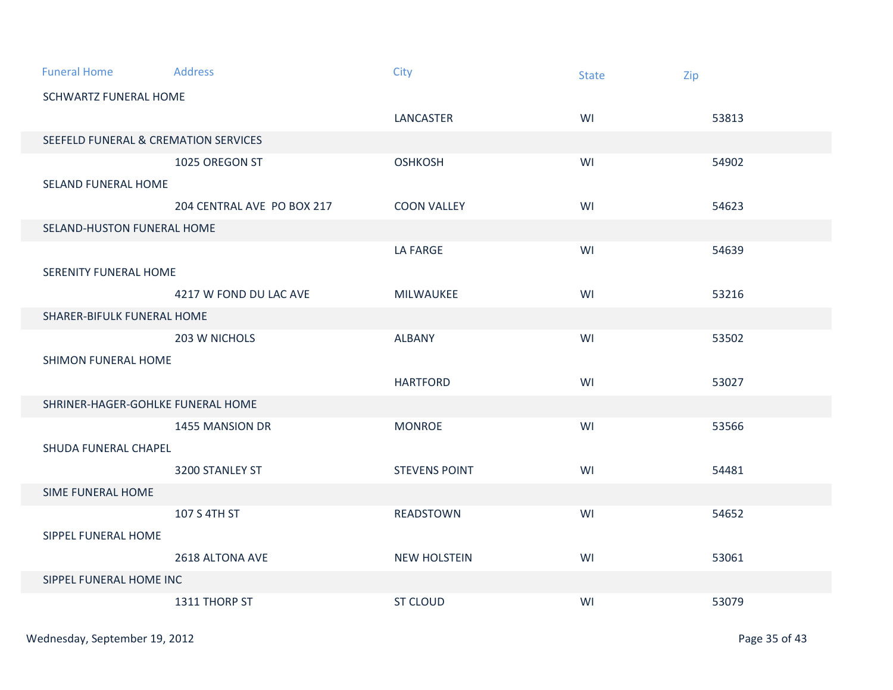| <b>Funeral Home</b>                             | Address                    | City                 | <b>State</b> | Zip   |  |  |
|-------------------------------------------------|----------------------------|----------------------|--------------|-------|--|--|
| <b>SCHWARTZ FUNERAL HOME</b>                    |                            |                      |              |       |  |  |
|                                                 |                            | LANCASTER            | WI           | 53813 |  |  |
| <b>SEEFELD FUNERAL &amp; CREMATION SERVICES</b> |                            |                      |              |       |  |  |
|                                                 | 1025 OREGON ST             | <b>OSHKOSH</b>       | WI           | 54902 |  |  |
| <b>SELAND FUNERAL HOME</b>                      |                            |                      |              |       |  |  |
|                                                 | 204 CENTRAL AVE PO BOX 217 | <b>COON VALLEY</b>   | WI           | 54623 |  |  |
| SELAND-HUSTON FUNERAL HOME                      |                            |                      |              |       |  |  |
|                                                 |                            | LA FARGE             | WI           | 54639 |  |  |
| SERENITY FUNERAL HOME                           |                            |                      |              |       |  |  |
|                                                 | 4217 W FOND DU LAC AVE     | <b>MILWAUKEE</b>     | WI           | 53216 |  |  |
| SHARER-BIFULK FUNERAL HOME                      |                            |                      |              |       |  |  |
|                                                 | 203 W NICHOLS              | <b>ALBANY</b>        | WI           | 53502 |  |  |
| SHIMON FUNERAL HOME                             |                            |                      |              |       |  |  |
|                                                 |                            | <b>HARTFORD</b>      | WI           | 53027 |  |  |
| SHRINER-HAGER-GOHLKE FUNERAL HOME               |                            |                      |              |       |  |  |
|                                                 | 1455 MANSION DR            | <b>MONROE</b>        | WI           | 53566 |  |  |
| SHUDA FUNERAL CHAPEL                            |                            |                      |              |       |  |  |
|                                                 | 3200 STANLEY ST            | <b>STEVENS POINT</b> | WI           | 54481 |  |  |
| SIME FUNERAL HOME                               |                            |                      |              |       |  |  |
|                                                 | 107 S 4TH ST               | <b>READSTOWN</b>     | WI           | 54652 |  |  |
| SIPPEL FUNERAL HOME                             |                            |                      |              |       |  |  |
|                                                 | 2618 ALTONA AVE            | <b>NEW HOLSTEIN</b>  | WI           | 53061 |  |  |
| SIPPEL FUNERAL HOME INC                         |                            |                      |              |       |  |  |
|                                                 | 1311 THORP ST              | <b>ST CLOUD</b>      | WI           | 53079 |  |  |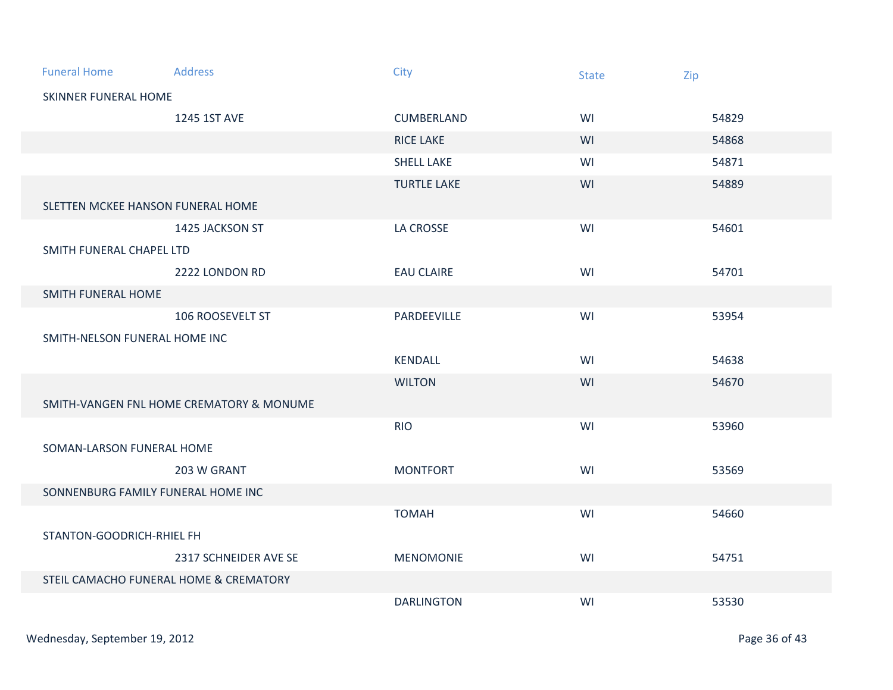| <b>Funeral Home</b>                | <b>Address</b>                           | City               | <b>State</b> | Zip   |  |  |
|------------------------------------|------------------------------------------|--------------------|--------------|-------|--|--|
| SKINNER FUNERAL HOME               |                                          |                    |              |       |  |  |
|                                    | 1245 1ST AVE                             | CUMBERLAND         | WI           | 54829 |  |  |
|                                    |                                          | <b>RICE LAKE</b>   | WI           | 54868 |  |  |
|                                    |                                          | <b>SHELL LAKE</b>  | WI           | 54871 |  |  |
|                                    |                                          | <b>TURTLE LAKE</b> | WI           | 54889 |  |  |
|                                    | SLETTEN MCKEE HANSON FUNERAL HOME        |                    |              |       |  |  |
|                                    | 1425 JACKSON ST                          | LA CROSSE          | WI           | 54601 |  |  |
| SMITH FUNERAL CHAPEL LTD           |                                          |                    |              |       |  |  |
|                                    | 2222 LONDON RD                           | <b>EAU CLAIRE</b>  | WI           | 54701 |  |  |
| SMITH FUNERAL HOME                 |                                          |                    |              |       |  |  |
|                                    | 106 ROOSEVELT ST                         | PARDEEVILLE        | WI           | 53954 |  |  |
| SMITH-NELSON FUNERAL HOME INC      |                                          |                    |              |       |  |  |
|                                    |                                          | <b>KENDALL</b>     | WI           | 54638 |  |  |
|                                    |                                          | <b>WILTON</b>      | WI           | 54670 |  |  |
|                                    | SMITH-VANGEN FNL HOME CREMATORY & MONUME |                    |              |       |  |  |
|                                    |                                          | <b>RIO</b>         | WI           | 53960 |  |  |
| SOMAN-LARSON FUNERAL HOME          |                                          |                    |              |       |  |  |
|                                    | 203 W GRANT                              | <b>MONTFORT</b>    | WI           | 53569 |  |  |
| SONNENBURG FAMILY FUNERAL HOME INC |                                          |                    |              |       |  |  |
|                                    |                                          | <b>TOMAH</b>       | WI           | 54660 |  |  |
| STANTON-GOODRICH-RHIEL FH          |                                          |                    |              |       |  |  |
|                                    | 2317 SCHNEIDER AVE SE                    | <b>MENOMONIE</b>   | WI           | 54751 |  |  |
|                                    | STEIL CAMACHO FUNERAL HOME & CREMATORY   |                    |              |       |  |  |
|                                    |                                          | <b>DARLINGTON</b>  | WI           | 53530 |  |  |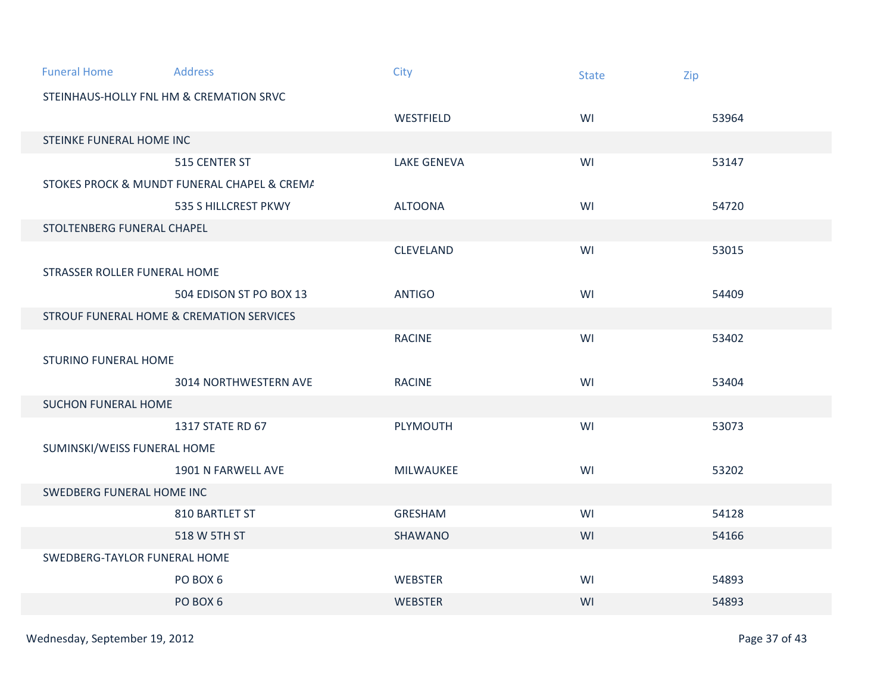| <b>Funeral Home</b>          | <b>Address</b>                                      | City               | <b>State</b> | Zip   |
|------------------------------|-----------------------------------------------------|--------------------|--------------|-------|
|                              | STEINHAUS-HOLLY FNL HM & CREMATION SRVC             |                    |              |       |
|                              |                                                     | WESTFIELD          | WI           | 53964 |
| STEINKE FUNERAL HOME INC     |                                                     |                    |              |       |
|                              | 515 CENTER ST                                       | <b>LAKE GENEVA</b> | WI           | 53147 |
|                              | STOKES PROCK & MUNDT FUNERAL CHAPEL & CREMA         |                    |              |       |
|                              | 535 S HILLCREST PKWY                                | <b>ALTOONA</b>     | WI           | 54720 |
| STOLTENBERG FUNERAL CHAPEL   |                                                     |                    |              |       |
|                              |                                                     | <b>CLEVELAND</b>   | WI           | 53015 |
| STRASSER ROLLER FUNERAL HOME |                                                     |                    |              |       |
|                              | 504 EDISON ST PO BOX 13                             | <b>ANTIGO</b>      | WI           | 54409 |
|                              | <b>STROUF FUNERAL HOME &amp; CREMATION SERVICES</b> |                    |              |       |
|                              |                                                     | <b>RACINE</b>      | WI           | 53402 |
| <b>STURINO FUNERAL HOME</b>  |                                                     |                    |              |       |
|                              | 3014 NORTHWESTERN AVE                               | <b>RACINE</b>      | WI           | 53404 |
| <b>SUCHON FUNERAL HOME</b>   |                                                     |                    |              |       |
|                              | 1317 STATE RD 67                                    | PLYMOUTH           | WI           | 53073 |
| SUMINSKI/WEISS FUNERAL HOME  |                                                     |                    |              |       |
|                              | 1901 N FARWELL AVE                                  | MILWAUKEE          | WI           | 53202 |
| SWEDBERG FUNERAL HOME INC    |                                                     |                    |              |       |
|                              | 810 BARTLET ST                                      | <b>GRESHAM</b>     | WI           | 54128 |
|                              | 518 W 5TH ST                                        | SHAWANO            | WI           | 54166 |
| SWEDBERG-TAYLOR FUNERAL HOME |                                                     |                    |              |       |
|                              | PO BOX 6                                            | WEBSTER            | WI           | 54893 |
|                              | PO BOX 6                                            | <b>WEBSTER</b>     | WI           | 54893 |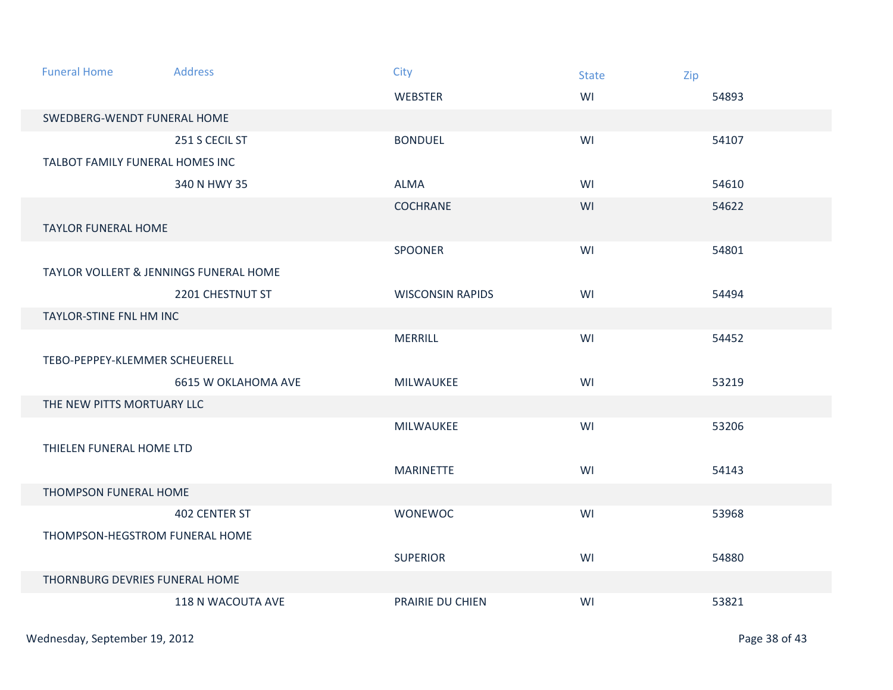| <b>Funeral Home</b>                               | <b>Address</b>      | City                    | <b>State</b> | Zip   |
|---------------------------------------------------|---------------------|-------------------------|--------------|-------|
|                                                   |                     | <b>WEBSTER</b>          | WI           | 54893 |
| SWEDBERG-WENDT FUNERAL HOME                       |                     |                         |              |       |
|                                                   | 251 S CECIL ST      | <b>BONDUEL</b>          | WI           | 54107 |
| TALBOT FAMILY FUNERAL HOMES INC                   |                     |                         |              |       |
|                                                   | 340 N HWY 35        | <b>ALMA</b>             | WI           | 54610 |
|                                                   |                     | <b>COCHRANE</b>         | WI           | 54622 |
| <b>TAYLOR FUNERAL HOME</b>                        |                     |                         |              |       |
|                                                   |                     | <b>SPOONER</b>          | WI           | 54801 |
| <b>TAYLOR VOLLERT &amp; JENNINGS FUNERAL HOME</b> |                     |                         |              |       |
|                                                   | 2201 CHESTNUT ST    | <b>WISCONSIN RAPIDS</b> | WI           | 54494 |
| TAYLOR-STINE FNL HM INC                           |                     |                         |              |       |
|                                                   |                     | <b>MERRILL</b>          | WI           | 54452 |
| TEBO-PEPPEY-KLEMMER SCHEUERELL                    |                     |                         |              |       |
|                                                   | 6615 W OKLAHOMA AVE | <b>MILWAUKEE</b>        | WI           | 53219 |
| THE NEW PITTS MORTUARY LLC                        |                     |                         |              |       |
|                                                   |                     | MILWAUKEE               | WI           | 53206 |
| THIELEN FUNERAL HOME LTD                          |                     |                         |              |       |
|                                                   |                     | <b>MARINETTE</b>        | WI           | 54143 |
| THOMPSON FUNERAL HOME                             |                     |                         |              |       |
|                                                   | 402 CENTER ST       | <b>WONEWOC</b>          | WI           | 53968 |
| THOMPSON-HEGSTROM FUNERAL HOME                    |                     |                         |              |       |
|                                                   |                     | <b>SUPERIOR</b>         | WI           | 54880 |
| THORNBURG DEVRIES FUNERAL HOME                    |                     |                         |              |       |
|                                                   | 118 N WACOUTA AVE   | PRAIRIE DU CHIEN        | WI           | 53821 |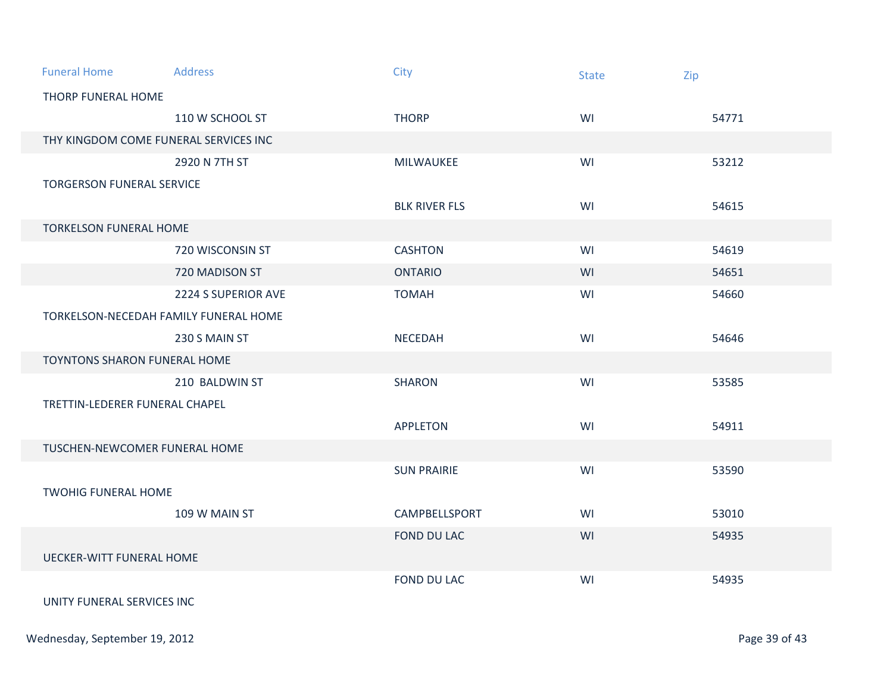| <b>Funeral Home</b>                   | <b>Address</b>                        | City                 | <b>State</b> | Zip   |  |
|---------------------------------------|---------------------------------------|----------------------|--------------|-------|--|
| THORP FUNERAL HOME                    |                                       |                      |              |       |  |
|                                       | 110 W SCHOOL ST                       | <b>THORP</b>         | WI           | 54771 |  |
| THY KINGDOM COME FUNERAL SERVICES INC |                                       |                      |              |       |  |
|                                       | 2920 N 7TH ST                         | <b>MILWAUKEE</b>     | WI           | 53212 |  |
| <b>TORGERSON FUNERAL SERVICE</b>      |                                       |                      |              |       |  |
|                                       |                                       | <b>BLK RIVER FLS</b> | WI           | 54615 |  |
| <b>TORKELSON FUNERAL HOME</b>         |                                       |                      |              |       |  |
|                                       | 720 WISCONSIN ST                      | <b>CASHTON</b>       | WI           | 54619 |  |
|                                       | 720 MADISON ST                        | <b>ONTARIO</b>       | WI           | 54651 |  |
|                                       | 2224 S SUPERIOR AVE                   | <b>TOMAH</b>         | WI           | 54660 |  |
|                                       | TORKELSON-NECEDAH FAMILY FUNERAL HOME |                      |              |       |  |
|                                       | 230 S MAIN ST                         | <b>NECEDAH</b>       | WI           | 54646 |  |
| <b>TOYNTONS SHARON FUNERAL HOME</b>   |                                       |                      |              |       |  |
|                                       | 210 BALDWIN ST                        | <b>SHARON</b>        | WI           | 53585 |  |
| TRETTIN-LEDERER FUNERAL CHAPEL        |                                       |                      |              |       |  |
|                                       |                                       | <b>APPLETON</b>      | WI           | 54911 |  |
| TUSCHEN-NEWCOMER FUNERAL HOME         |                                       |                      |              |       |  |
|                                       |                                       | <b>SUN PRAIRIE</b>   | WI           | 53590 |  |
| <b>TWOHIG FUNERAL HOME</b>            |                                       |                      |              |       |  |
|                                       | 109 W MAIN ST                         | CAMPBELLSPORT        | WI           | 53010 |  |
|                                       |                                       | FOND DU LAC          | WI           | 54935 |  |
| <b>UECKER-WITT FUNERAL HOME</b>       |                                       |                      |              |       |  |
|                                       |                                       | <b>FOND DU LAC</b>   | WI           | 54935 |  |
| UNITY FUNERAL SERVICES INC.           |                                       |                      |              |       |  |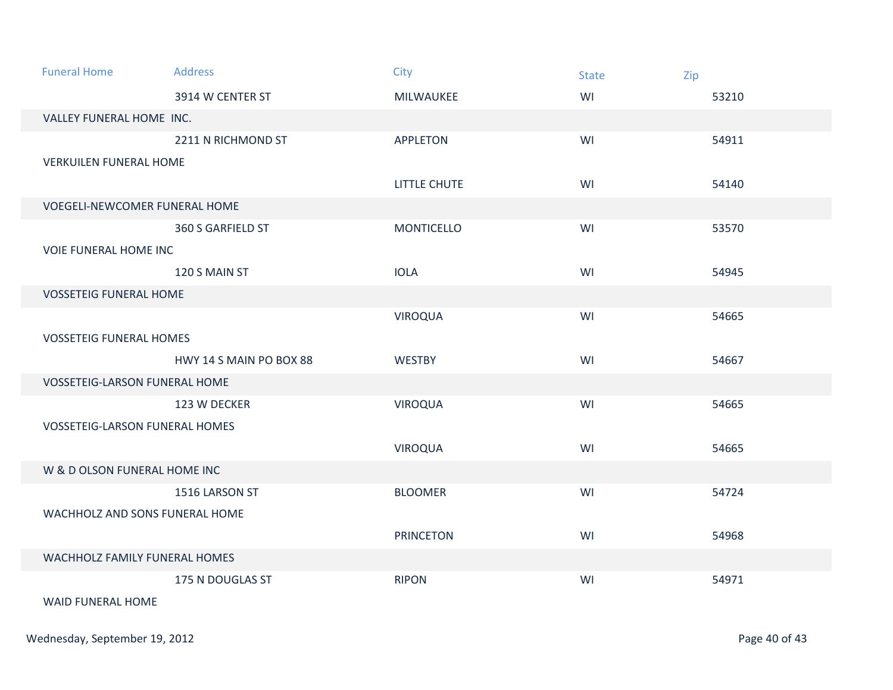| <b>Funeral Home</b>                   | <b>Address</b>          | City              | <b>State</b> | Zip   |
|---------------------------------------|-------------------------|-------------------|--------------|-------|
|                                       | 3914 W CENTER ST        | MILWAUKEE         | WI           | 53210 |
| VALLEY FUNERAL HOME INC.              |                         |                   |              |       |
|                                       | 2211 N RICHMOND ST      | <b>APPLETON</b>   | WI           | 54911 |
| <b>VERKUILEN FUNERAL HOME</b>         |                         |                   |              |       |
|                                       |                         | LITTLE CHUTE      | WI           | 54140 |
| <b>VOEGELI-NEWCOMER FUNERAL HOME</b>  |                         |                   |              |       |
|                                       | 360 S GARFIELD ST       | <b>MONTICELLO</b> | WI           | 53570 |
| <b>VOIE FUNERAL HOME INC</b>          |                         |                   |              |       |
|                                       | 120 S MAIN ST           | <b>IOLA</b>       | WI           | 54945 |
| <b>VOSSETEIG FUNERAL HOME</b>         |                         |                   |              |       |
|                                       |                         | <b>VIROQUA</b>    | WI           | 54665 |
| <b>VOSSETEIG FUNERAL HOMES</b>        |                         |                   |              |       |
|                                       | HWY 14 S MAIN PO BOX 88 | <b>WESTBY</b>     | WI           | 54667 |
| <b>VOSSETEIG-LARSON FUNERAL HOME</b>  |                         |                   |              |       |
|                                       | 123 W DECKER            | <b>VIROQUA</b>    | WI           | 54665 |
| <b>VOSSETEIG-LARSON FUNERAL HOMES</b> |                         |                   |              |       |
|                                       |                         | <b>VIROQUA</b>    | WI           | 54665 |
| W & D OLSON FUNERAL HOME INC          |                         |                   |              |       |
|                                       | 1516 LARSON ST          | <b>BLOOMER</b>    | WI           | 54724 |
| WACHHOLZ AND SONS FUNERAL HOME        |                         |                   |              |       |
|                                       |                         | <b>PRINCETON</b>  | WI           | 54968 |
| WACHHOLZ FAMILY FUNERAL HOMES         |                         |                   |              |       |
|                                       | 175 N DOUGLAS ST        | <b>RIPON</b>      | WI           | 54971 |
| <b>WAID FUNERAL HOME</b>              |                         |                   |              |       |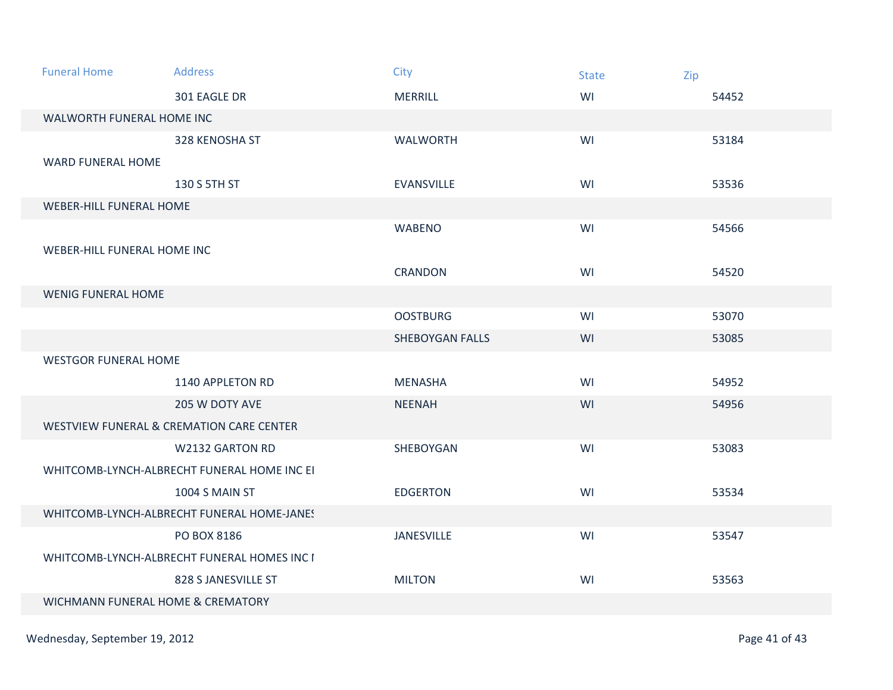| <b>Funeral Home</b>                         | <b>Address</b>                                      | City                   | <b>State</b> | Zip   |
|---------------------------------------------|-----------------------------------------------------|------------------------|--------------|-------|
|                                             | 301 EAGLE DR                                        | <b>MERRILL</b>         | WI           | 54452 |
| WALWORTH FUNERAL HOME INC                   |                                                     |                        |              |       |
|                                             | 328 KENOSHA ST                                      | <b>WALWORTH</b>        | WI           | 53184 |
| <b>WARD FUNERAL HOME</b>                    |                                                     |                        |              |       |
|                                             | 130 S 5TH ST                                        | <b>EVANSVILLE</b>      | WI           | 53536 |
| <b>WEBER-HILL FUNERAL HOME</b>              |                                                     |                        |              |       |
|                                             |                                                     | <b>WABENO</b>          | WI           | 54566 |
| WEBER-HILL FUNERAL HOME INC                 |                                                     |                        |              |       |
|                                             |                                                     | <b>CRANDON</b>         | WI           | 54520 |
| <b>WENIG FUNERAL HOME</b>                   |                                                     |                        |              |       |
|                                             |                                                     | <b>OOSTBURG</b>        | WI           | 53070 |
|                                             |                                                     | <b>SHEBOYGAN FALLS</b> | WI           | 53085 |
| <b>WESTGOR FUNERAL HOME</b>                 |                                                     |                        |              |       |
|                                             | 1140 APPLETON RD                                    | <b>MENASHA</b>         | WI           | 54952 |
|                                             | 205 W DOTY AVE                                      | <b>NEENAH</b>          | WI           | 54956 |
|                                             | <b>WESTVIEW FUNERAL &amp; CREMATION CARE CENTER</b> |                        |              |       |
|                                             | <b>W2132 GARTON RD</b>                              | SHEBOYGAN              | WI           | 53083 |
| WHITCOMB-LYNCH-ALBRECHT FUNERAL HOME INC EI |                                                     |                        |              |       |
|                                             | 1004 S MAIN ST                                      | <b>EDGERTON</b>        | WI           | 53534 |
| WHITCOMB-LYNCH-ALBRECHT FUNERAL HOME-JANES  |                                                     |                        |              |       |
|                                             | PO BOX 8186                                         | <b>JANESVILLE</b>      | WI           | 53547 |
| WHITCOMB-LYNCH-ALBRECHT FUNERAL HOMES INC I |                                                     |                        |              |       |
|                                             | 828 S JANESVILLE ST                                 | <b>MILTON</b>          | WI           | 53563 |
| WICHMANN FUNERAL HOME & CREMATORY           |                                                     |                        |              |       |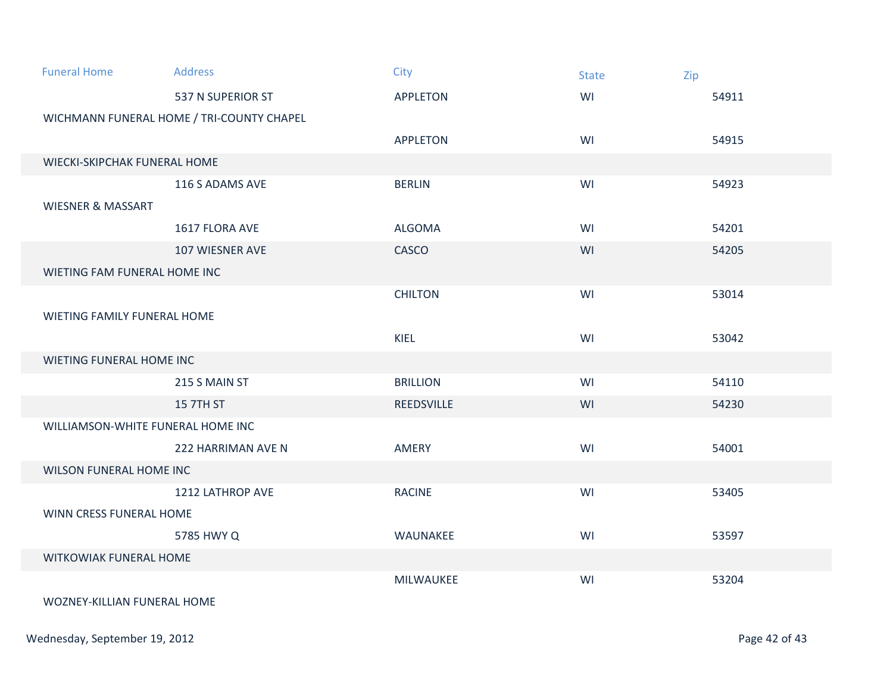| <b>Funeral Home</b>               | <b>Address</b>                            | <b>City</b>       | <b>State</b> | Zip   |  |
|-----------------------------------|-------------------------------------------|-------------------|--------------|-------|--|
|                                   | 537 N SUPERIOR ST                         | <b>APPLETON</b>   | WI           | 54911 |  |
|                                   | WICHMANN FUNERAL HOME / TRI-COUNTY CHAPEL |                   |              |       |  |
|                                   |                                           | <b>APPLETON</b>   | WI           | 54915 |  |
| WIECKI-SKIPCHAK FUNERAL HOME      |                                           |                   |              |       |  |
|                                   | 116 S ADAMS AVE                           | <b>BERLIN</b>     | WI           | 54923 |  |
| <b>WIESNER &amp; MASSART</b>      |                                           |                   |              |       |  |
|                                   | 1617 FLORA AVE                            | <b>ALGOMA</b>     | WI           | 54201 |  |
|                                   | 107 WIESNER AVE                           | CASCO             | WI           | 54205 |  |
| WIETING FAM FUNERAL HOME INC      |                                           |                   |              |       |  |
|                                   |                                           | <b>CHILTON</b>    | WI           | 53014 |  |
| WIETING FAMILY FUNERAL HOME       |                                           |                   |              |       |  |
|                                   |                                           | KIEL              | WI           | 53042 |  |
| WIETING FUNERAL HOME INC          |                                           |                   |              |       |  |
|                                   | 215 S MAIN ST                             | <b>BRILLION</b>   | WI           | 54110 |  |
|                                   | <b>15 7TH ST</b>                          | <b>REEDSVILLE</b> | WI           | 54230 |  |
| WILLIAMSON-WHITE FUNERAL HOME INC |                                           |                   |              |       |  |
|                                   | 222 HARRIMAN AVE N                        | AMERY             | WI           | 54001 |  |
| <b>WILSON FUNERAL HOME INC</b>    |                                           |                   |              |       |  |
|                                   | 1212 LATHROP AVE                          | <b>RACINE</b>     | WI           | 53405 |  |
| WINN CRESS FUNERAL HOME           |                                           |                   |              |       |  |
|                                   | 5785 HWY Q                                | WAUNAKEE          | WI           | 53597 |  |
| WITKOWIAK FUNERAL HOME            |                                           |                   |              |       |  |
|                                   |                                           | MILWAUKEE         | WI           | 53204 |  |
| WOZNEY-KILLIAN FUNERAL HOME       |                                           |                   |              |       |  |